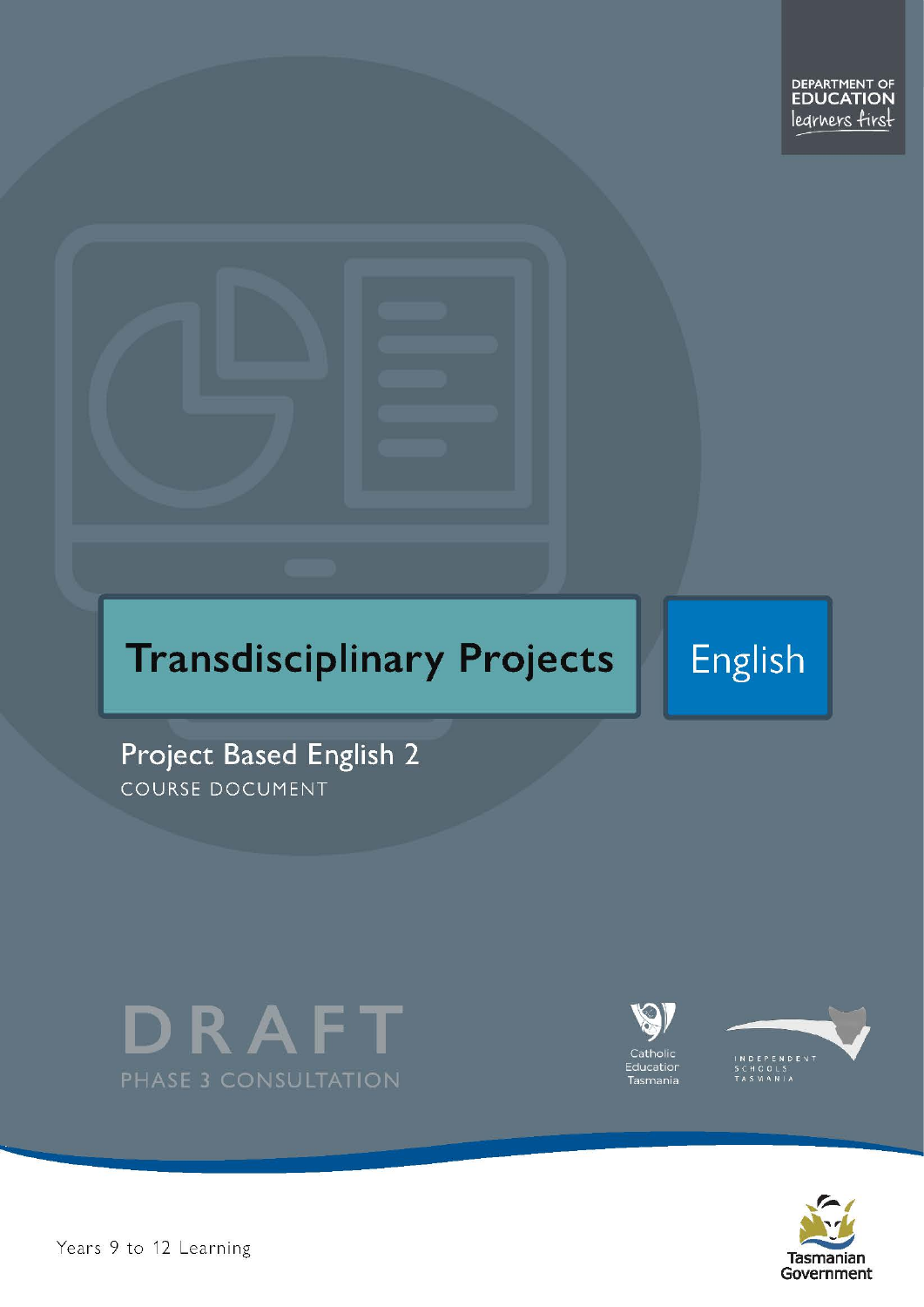# **Transdisciplinary Projects**

English

Project Based English 2 COURSE DOCUMENT









Pears 9 to 12 Learning – Project Based English Level 2 Passed English Level 2 Passed English Level 2 Passed in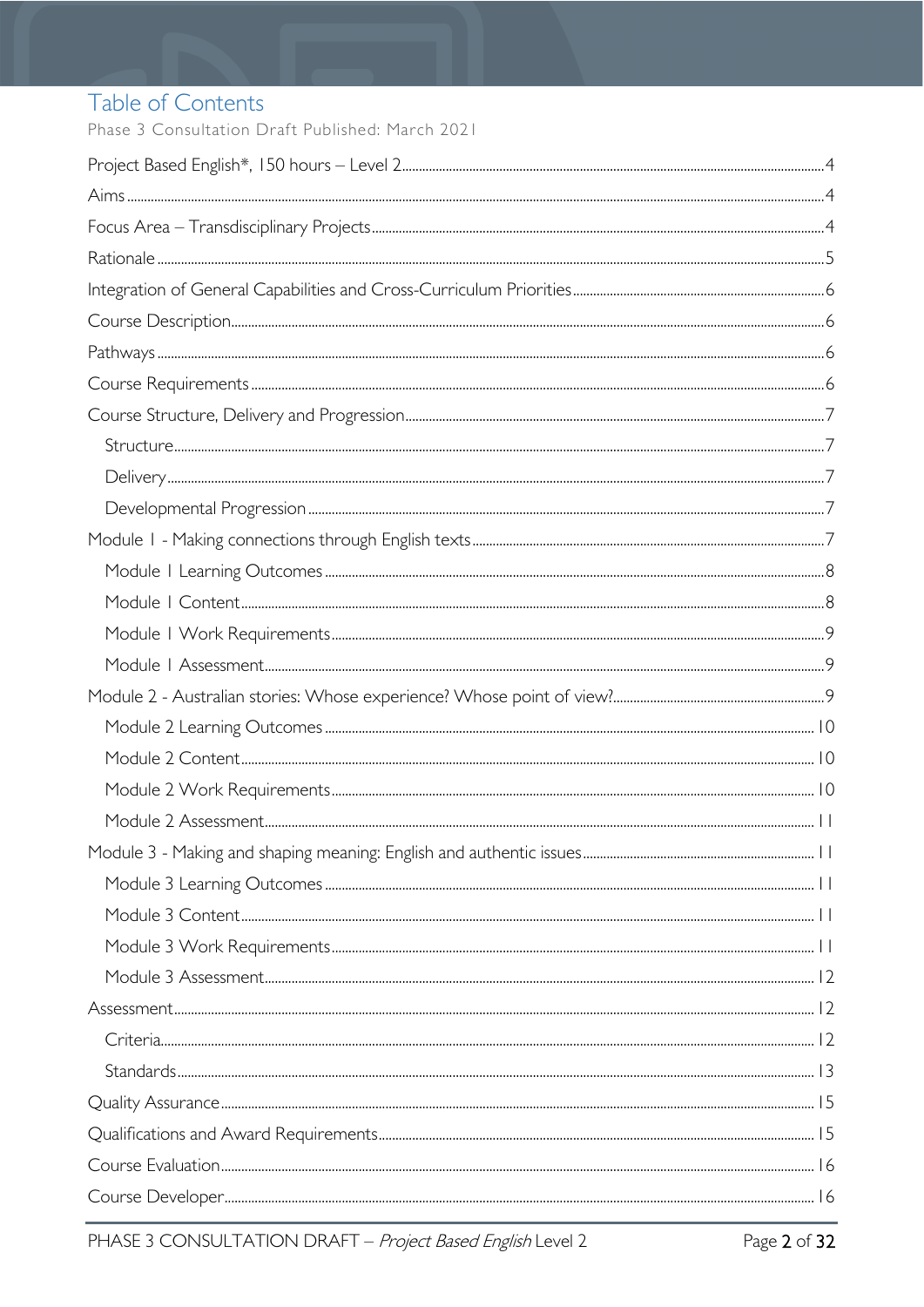### Table of Contents

Phase 3 Consultation Draft Published: March 2021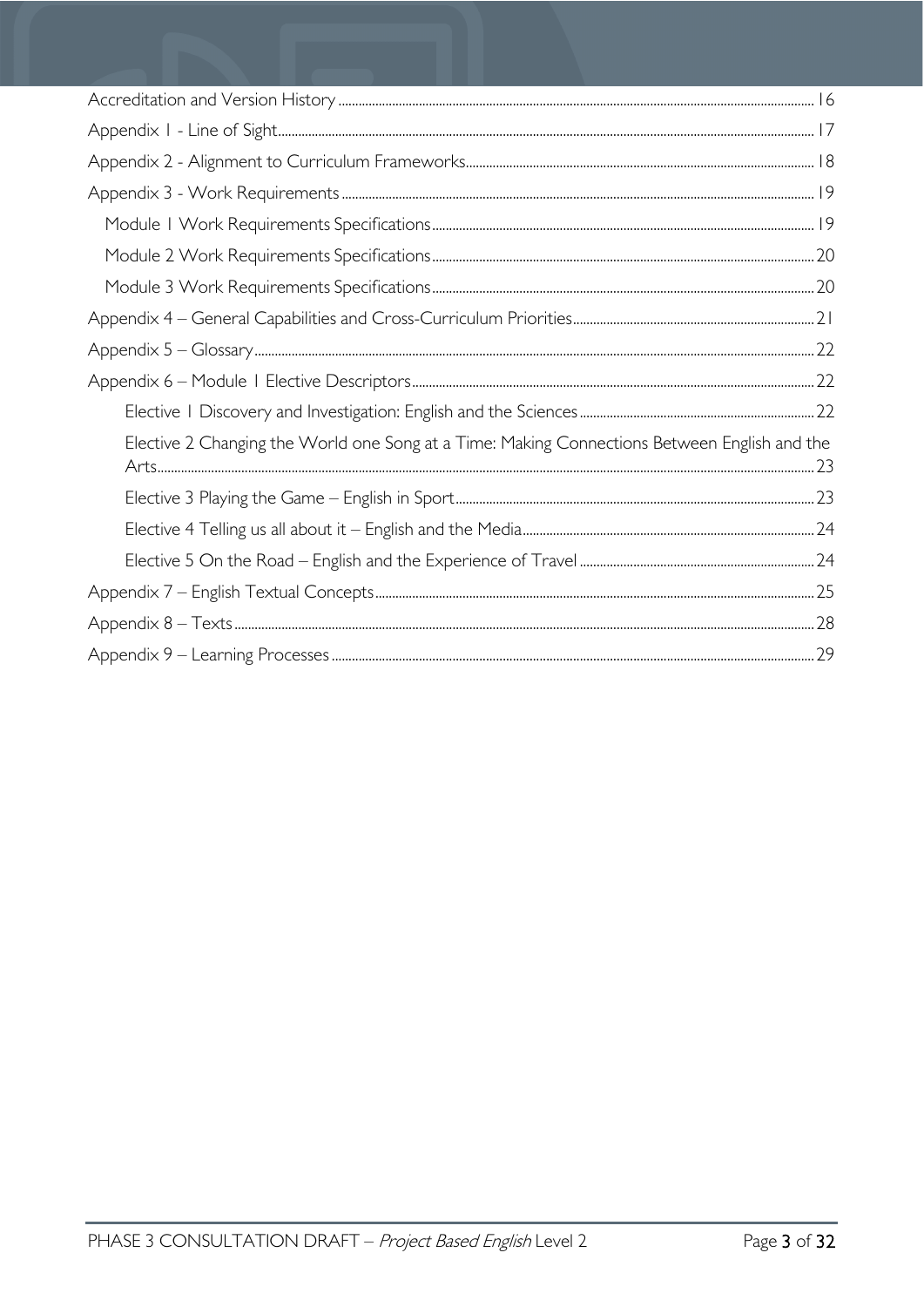| Elective 2 Changing the World one Song at a Time: Making Connections Between English and the |
|----------------------------------------------------------------------------------------------|
|                                                                                              |
|                                                                                              |
|                                                                                              |
|                                                                                              |
|                                                                                              |
|                                                                                              |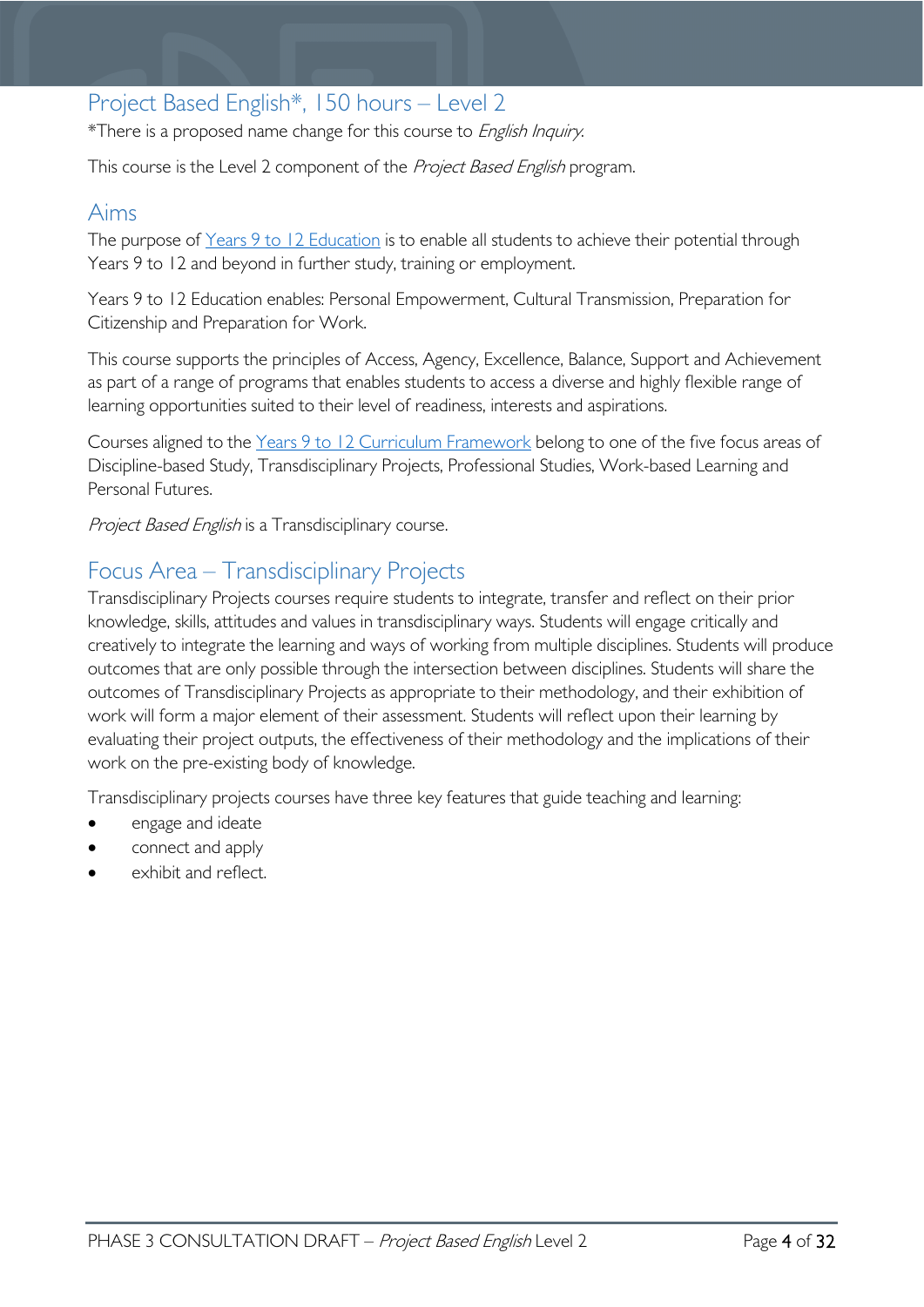### <span id="page-3-0"></span>Project Based English\*, 150 hours – Level 2

\*There is a proposed name change for this course to English Inquiry.

This course is the Level 2 component of the Project Based English program.

### <span id="page-3-1"></span>Aims

The purpose of Years 9 to 12 [Education](https://publicdocumentcentre.education.tas.gov.au/library/Shared%20Documents/Years-9-to-12-Education-Framework.pdf) is to enable all students to achieve their potential through Years 9 to 12 and beyond in further study, training or employment.

Years 9 to 12 Education enables: Personal Empowerment, Cultural Transmission, Preparation for Citizenship and Preparation for Work.

This course supports the principles of Access, Agency, Excellence, Balance, Support and Achievement as part of a range of programs that enables students to access a diverse and highly flexible range of learning opportunities suited to their level of readiness, interests and aspirations.

Courses aligned to the Years 9 to 12 Curriculum [Framework](https://publicdocumentcentre.education.tas.gov.au/library/Shared%20Documents/Education%209-12%20Frameworks%20A3%20WEB%20POSTER.pdf) belong to one of the five focus areas of Discipline-based Study, Transdisciplinary Projects, Professional Studies, Work-based Learning and Personal Futures.

Project Based English is a Transdisciplinary course.

### <span id="page-3-2"></span>Focus Area – Transdisciplinary Projects

Transdisciplinary Projects courses require students to integrate, transfer and reflect on their prior knowledge, skills, attitudes and values in transdisciplinary ways. Students will engage critically and creatively to integrate the learning and ways of working from multiple disciplines. Students will produce outcomes that are only possible through the intersection between disciplines. Students will share the outcomes of Transdisciplinary Projects as appropriate to their methodology, and their exhibition of work will form a major element of their assessment. Students will reflect upon their learning by evaluating their project outputs, the effectiveness of their methodology and the implications of their work on the pre-existing body of knowledge.

Transdisciplinary projects courses have three key features that guide teaching and learning:

- engage and ideate
- connect and apply
- exhibit and reflect.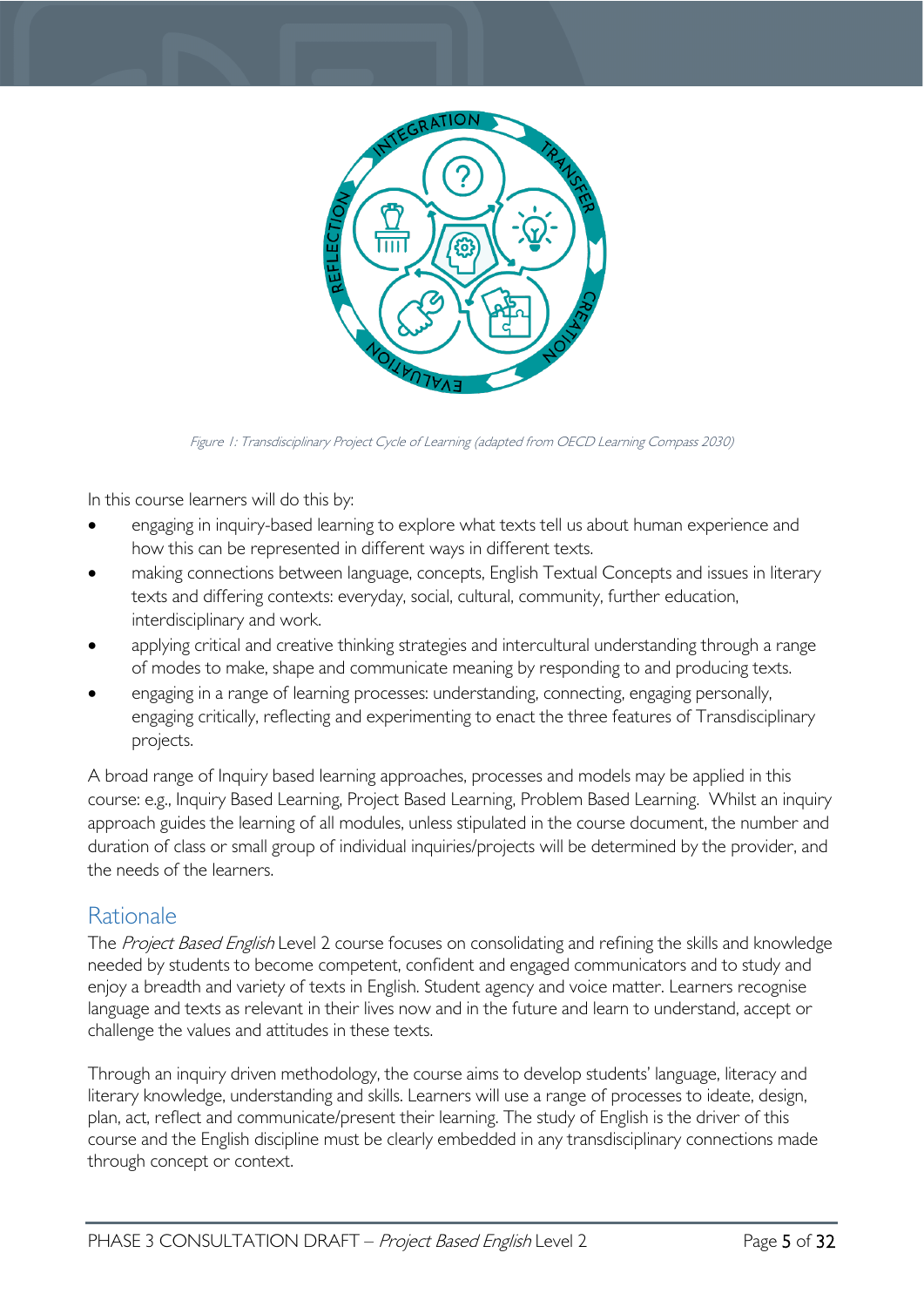

Figure 1: Transdisciplinary Project Cycle of Learning (adapted from OECD Learning Compass 2030)

In this course learners will do this by:

- engaging in inquiry-based learning to explore what texts tell us about human experience and how this can be represented in different ways in different texts.
- making connections between language, concepts, English Textual Concepts and issues in literary texts and differing contexts: everyday, social, cultural, community, further education, interdisciplinary and work.
- applying critical and creative thinking strategies and intercultural understanding through a range of modes to make, shape and communicate meaning by responding to and producing texts.
- engaging in a range of learning processes: understanding, connecting, engaging personally, engaging critically, reflecting and experimenting to enact the three features of Transdisciplinary projects.

A broad range of Inquiry based learning approaches, processes and models may be applied in this course: e.g., Inquiry Based Learning, Project Based Learning, Problem Based Learning. Whilst an inquiry approach guides the learning of all modules, unless stipulated in the course document, the number and duration of class or small group of individual inquiries/projects will be determined by the provider, and the needs of the learners.

### <span id="page-4-0"></span>**Rationale**

The Project Based English Level 2 course focuses on consolidating and refining the skills and knowledge needed by students to become competent, confident and engaged communicators and to study and enjoy a breadth and variety of texts in English. Student agency and voice matter. Learners recognise language and texts as relevant in their lives now and in the future and learn to understand, accept or challenge the values and attitudes in these texts.

Through an inquiry driven methodology, the course aims to develop students' language, literacy and literary knowledge, understanding and skills. Learners will use a range of processes to ideate, design, plan, act, reflect and communicate/present their learning. The study of English is the driver of this course and the English discipline must be clearly embedded in any transdisciplinary connections made through concept or context.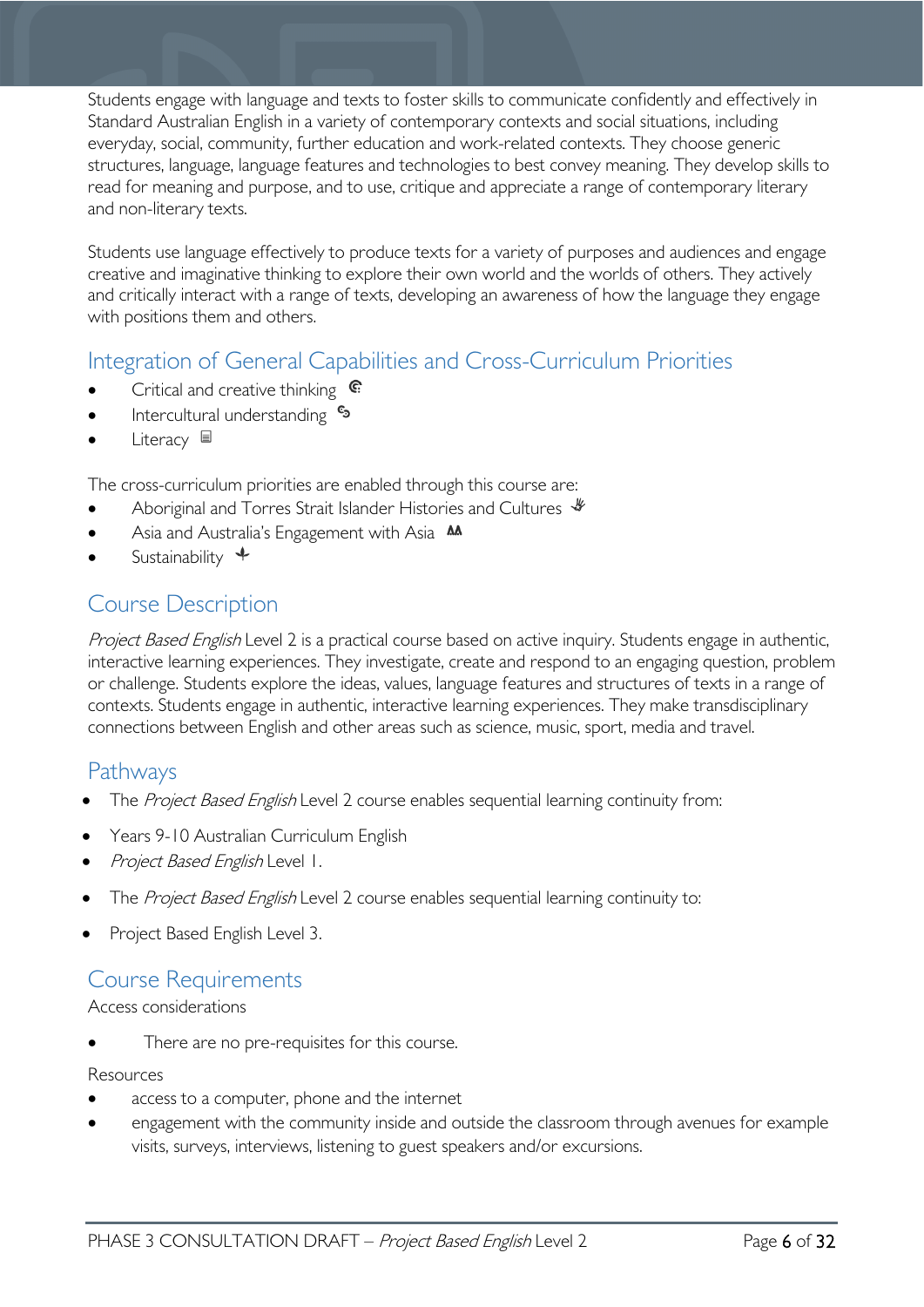Students engage with language and texts to foster skills to communicate confidently and effectively in Standard Australian English in a variety of contemporary contexts and social situations, including everyday, social, community, further education and work-related contexts. They choose generic structures, language, language features and technologies to best convey meaning. They develop skills to read for meaning and purpose, and to use, critique and appreciate a range of contemporary literary and non-literary texts.

Students use language effectively to produce texts for a variety of purposes and audiences and engage creative and imaginative thinking to explore their own world and the worlds of others. They actively and critically interact with a range of texts, developing an awareness of how the language they engage with positions them and others.

### <span id="page-5-0"></span>Integration of General Capabilities and Cross-Curriculum Priorities

- Critical and creative thinking  $\mathbb{C}$
- **Intercultural understanding S**
- Literacy ■

The cross-curriculum priorities are enabled through this course are:

- Aboriginal and Torres Strait Islander Histories and Cultures  $\mathcal$
- Asia and Australia's Engagement with Asia AA
- Sustainability  $\triangleq$

### <span id="page-5-1"></span>Course Description

Project Based English Level 2 is a practical course based on active inquiry. Students engage in authentic, interactive learning experiences. They investigate, create and respond to an engaging question, problem or challenge. Students explore the ideas, values, language features and structures of texts in a range of contexts. Students engage in authentic, interactive learning experiences. They make transdisciplinary connections between English and other areas such as science, music, sport, media and travel.

### <span id="page-5-2"></span>Pathways

- The Project Based English Level 2 course enables sequential learning continuity from:
- Years 9-10 Australian Curriculum English
- Project Based English Level 1.
- The Project Based English Level 2 course enables sequential learning continuity to:
- Project Based English Level 3.

#### <span id="page-5-3"></span>Course Requirements

#### Access considerations

There are no pre-requisites for this course.

#### Resources

- access to a computer, phone and the internet
- engagement with the community inside and outside the classroom through avenues for example visits, surveys, interviews, listening to guest speakers and/or excursions.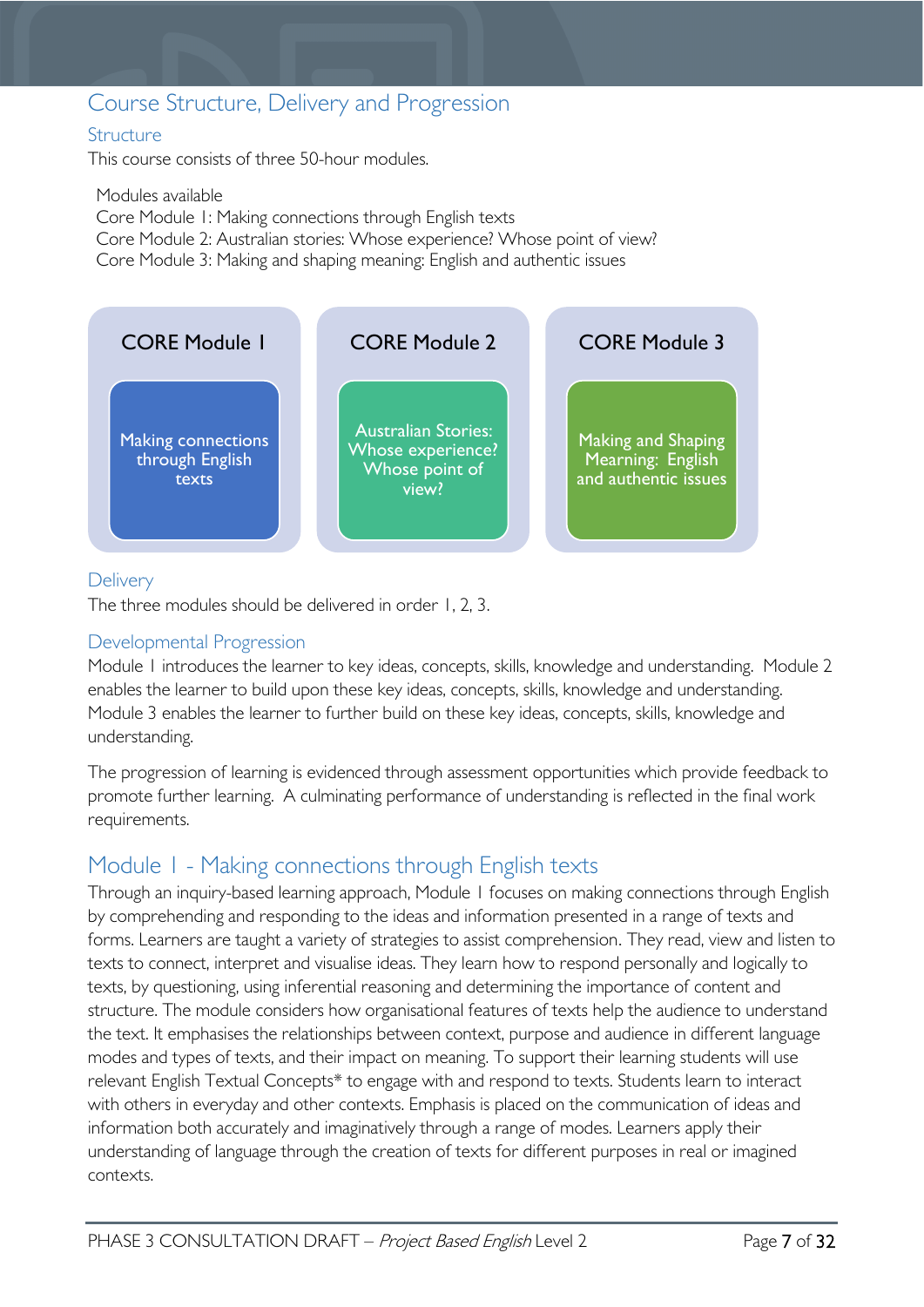### <span id="page-6-0"></span>Course Structure, Delivery and Progression

#### <span id="page-6-1"></span>**Structure**

This course consists of three 50-hour modules.

Modules available Core Module 1: Making connections through English texts Core Module 2: Australian stories: Whose experience? Whose point of view? Core Module 3: Making and shaping meaning: English and authentic issues



#### <span id="page-6-2"></span>**Delivery**

The three modules should be delivered in order 1, 2, 3.

#### <span id="page-6-3"></span>Developmental Progression

Module 1 introduces the learner to key ideas, concepts, skills, knowledge and understanding. Module 2 enables the learner to build upon these key ideas, concepts, skills, knowledge and understanding. Module 3 enables the learner to further build on these key ideas, concepts, skills, knowledge and understanding.

The progression of learning is evidenced through assessment opportunities which provide feedback to promote further learning. A culminating performance of understanding is reflected in the final work requirements.

### <span id="page-6-4"></span>Module 1 - Making connections through English texts

Through an inquiry-based learning approach, Module 1 focuses on making connections through English by comprehending and responding to the ideas and information presented in a range of texts and forms. Learners are taught a variety of strategies to assist comprehension. They read, view and listen to texts to connect, interpret and visualise ideas. They learn how to respond personally and logically to texts, by questioning, using inferential reasoning and determining the importance of content and structure. The module considers how organisational features of texts help the audience to understand the text. It emphasises the relationships between context, purpose and audience in different language modes and types of texts, and their impact on meaning. To support their learning students will use relevant English Textual Concepts\* to engage with and respond to texts. Students learn to interact with others in everyday and other contexts. Emphasis is placed on the communication of ideas and information both accurately and imaginatively through a range of modes. Learners apply their understanding of language through the creation of texts for different purposes in real or imagined contexts.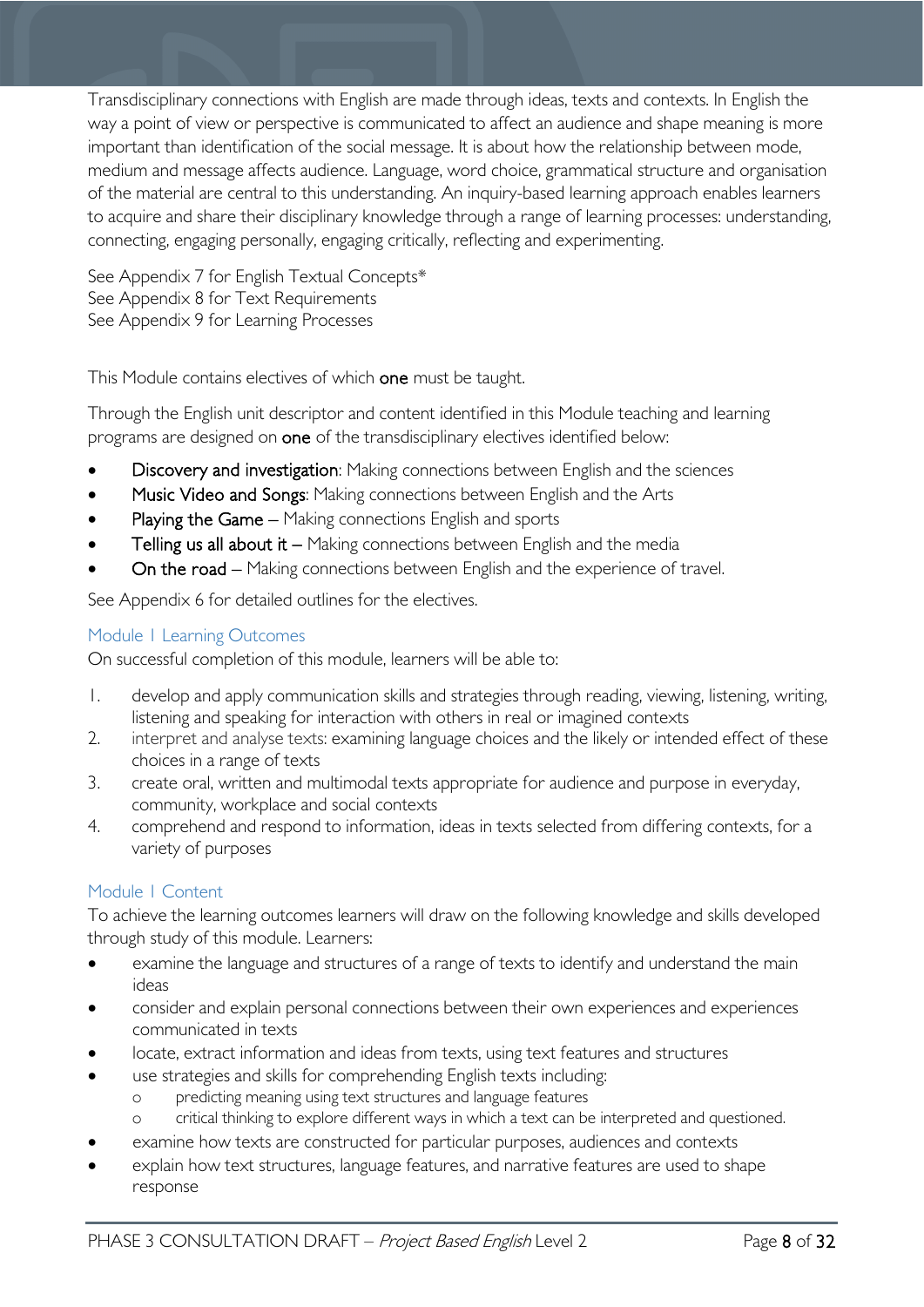Transdisciplinary connections with English are made through ideas, texts and contexts. In English the way a point of view or perspective is communicated to affect an audience and shape meaning is more important than identification of the social message. It is about how the relationship between mode, medium and message affects audience. Language, word choice, grammatical structure and organisation of the material are central to this understanding. An inquiry-based learning approach enables learners to acquire and share their disciplinary knowledge through a range of learning processes: understanding, connecting, engaging personally, engaging critically, reflecting and experimenting.

See Appendix 7 for English Textual Concepts\* See Appendix 8 for Text Requirements See Appendix 9 for Learning Processes

This Module contains electives of which one must be taught.

Through the English unit descriptor and content identified in this Module teaching and learning programs are designed on one of the transdisciplinary electives identified below:

- Discovery and investigation: Making connections between English and the sciences
- Music Video and Songs: Making connections between English and the Arts
- Playing the Game Making connections English and sports
- Telling us all about it  $-$  Making connections between English and the media
- On the road Making connections between English and the experience of travel.

See Appendix 6 for detailed outlines for the electives.

#### <span id="page-7-0"></span>Module 1 Learning Outcomes

On successful completion of this module, learners will be able to:

- 1. develop and apply communication skills and strategies through reading, viewing, listening, writing, listening and speaking for interaction with others in real or imagined contexts
- 2. interpret and analyse texts: examining language choices and the likely or intended effect of these choices in a range of texts
- 3. create oral, written and multimodal texts appropriate for audience and purpose in everyday, community, workplace and social contexts
- 4. comprehend and respond to information, ideas in texts selected from differing contexts, for a variety of purposes

#### <span id="page-7-1"></span>Module 1 Content

To achieve the learning outcomes learners will draw on the following knowledge and skills developed through study of this module. Learners:

- examine the language and structures of a range of texts to identify and understand the main ideas
- consider and explain personal connections between their own experiences and experiences communicated in texts
- locate, extract information and ideas from texts, using text features and structures
- use strategies and skills for comprehending English texts including:
	- predicting meaning using text structures and language features
	- o critical thinking to explore different ways in which a text can be interpreted and questioned.
- examine how texts are constructed for particular purposes, audiences and contexts
- explain how text structures, language features, and narrative features are used to shape response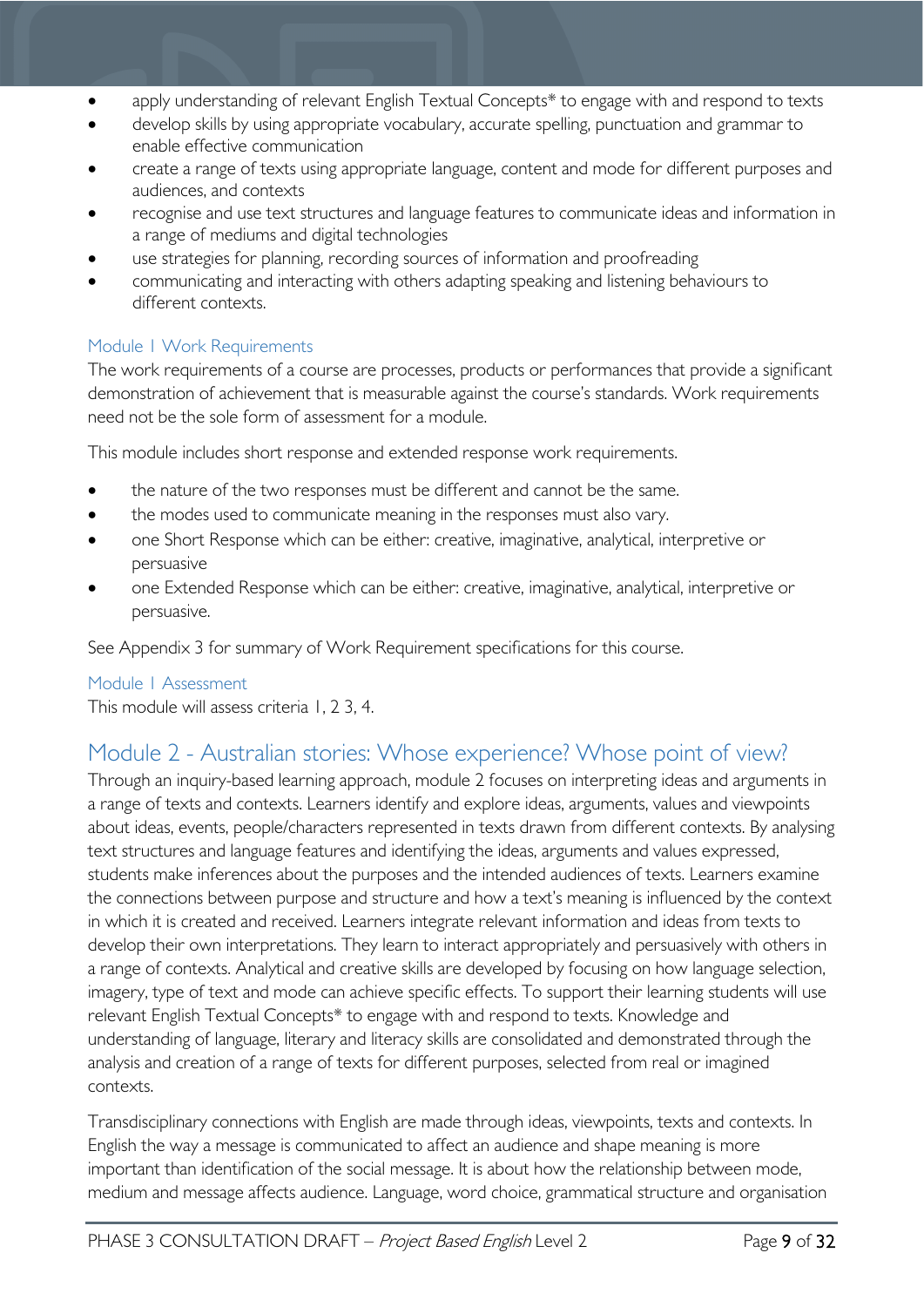- apply understanding of relevant English Textual Concepts\* to engage with and respond to texts
- develop skills by using appropriate vocabulary, accurate spelling, punctuation and grammar to enable effective communication
- create a range of texts using appropriate language, content and mode for different purposes and audiences, and contexts
- recognise and use text structures and language features to communicate ideas and information in a range of mediums and digital technologies
- use strategies for planning, recording sources of information and proofreading
- communicating and interacting with others adapting speaking and listening behaviours to different contexts.

#### <span id="page-8-0"></span>Module 1 Work Requirements

The work requirements of a course are processes, products or performances that provide a significant demonstration of achievement that is measurable against the course's standards. Work requirements need not be the sole form of assessment for a module.

This module includes short response and extended response work requirements.

- the nature of the two responses must be different and cannot be the same.
- the modes used to communicate meaning in the responses must also vary.
- one Short Response which can be either: creative, imaginative, analytical, interpretive or persuasive
- one Extended Response which can be either: creative, imaginative, analytical, interpretive or persuasive.

See Appendix 3 for summary of Work Requirement specifications for this course.

#### <span id="page-8-1"></span>Module 1 Assessment

This module will assess criteria 1, 2 3, 4.

### <span id="page-8-2"></span>Module 2 - Australian stories: Whose experience? Whose point of view?

Through an inquiry-based learning approach, module 2 focuses on interpreting ideas and arguments in a range of texts and contexts. Learners identify and explore ideas, arguments, values and viewpoints about ideas, events, people/characters represented in texts drawn from different contexts. By analysing text structures and language features and identifying the ideas, arguments and values expressed, students make inferences about the purposes and the intended audiences of texts. Learners examine the connections between purpose and structure and how a text's meaning is influenced by the context in which it is created and received. Learners integrate relevant information and ideas from texts to develop their own interpretations. They learn to interact appropriately and persuasively with others in a range of contexts. Analytical and creative skills are developed by focusing on how language selection, imagery, type of text and mode can achieve specific effects. To support their learning students will use relevant English Textual Concepts\* to engage with and respond to texts. Knowledge and understanding of language, literary and literacy skills are consolidated and demonstrated through the analysis and creation of a range of texts for different purposes, selected from real or imagined contexts.

Transdisciplinary connections with English are made through ideas, viewpoints, texts and contexts. In English the way a message is communicated to affect an audience and shape meaning is more important than identification of the social message. It is about how the relationship between mode, medium and message affects audience. Language, word choice, grammatical structure and organisation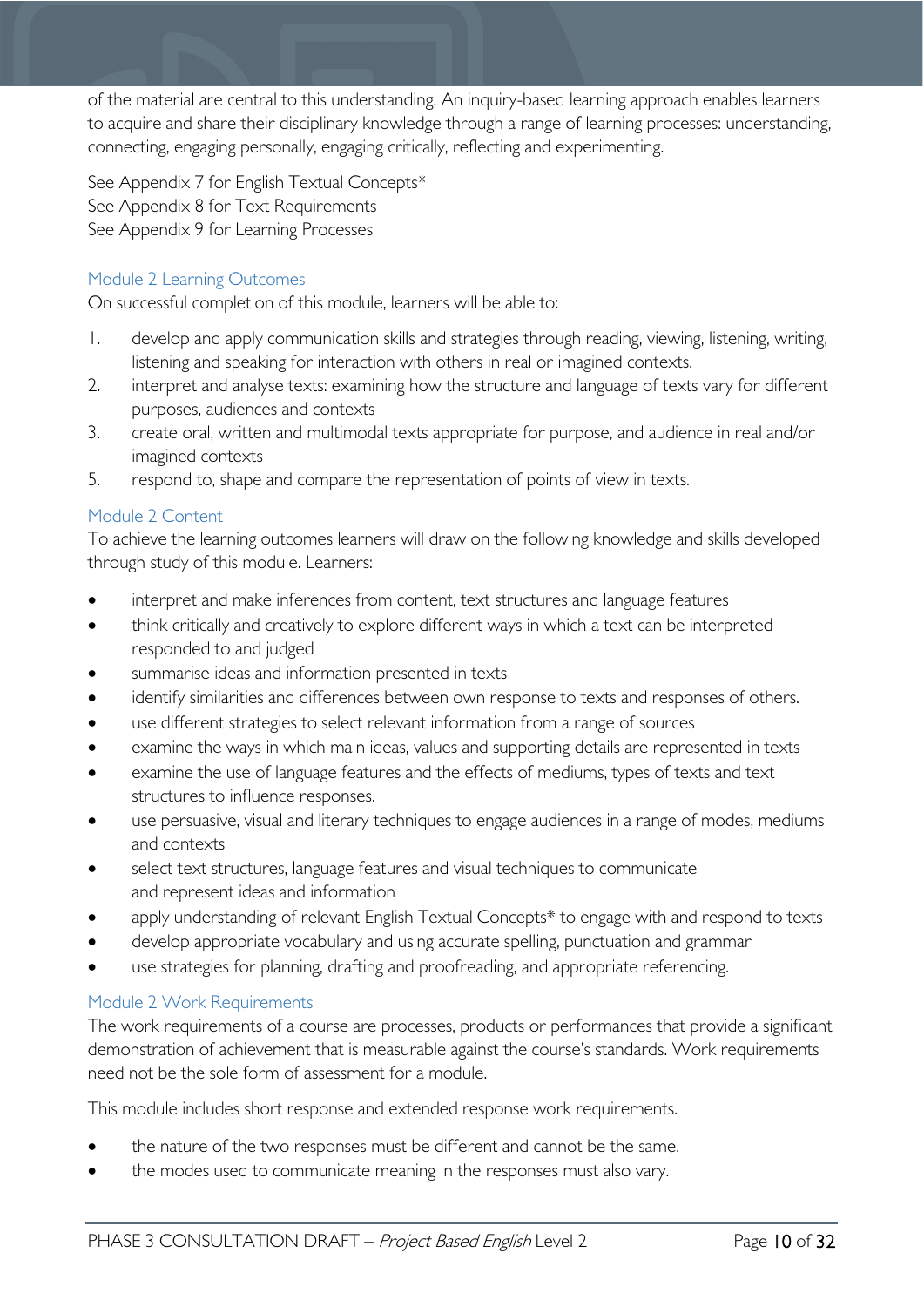of the material are central to this understanding. An inquiry-based learning approach enables learners to acquire and share their disciplinary knowledge through a range of learning processes: understanding, connecting, engaging personally, engaging critically, reflecting and experimenting.

See Appendix 7 for English Textual Concepts\* See Appendix 8 for Text Requirements See Appendix 9 for Learning Processes

#### <span id="page-9-0"></span>Module 2 Learning Outcomes

On successful completion of this module, learners will be able to:

- 1. develop and apply communication skills and strategies through reading, viewing, listening, writing, listening and speaking for interaction with others in real or imagined contexts.
- 2. interpret and analyse texts: examining how the structure and language of texts vary for different purposes, audiences and contexts
- 3. create oral, written and multimodal texts appropriate for purpose, and audience in real and/or imagined contexts
- 5. respond to, shape and compare the representation of points of view in texts.

#### <span id="page-9-1"></span>Module 2 Content

To achieve the learning outcomes learners will draw on the following knowledge and skills developed through study of this module. Learners:

- interpret and make inferences from content, text structures and language features
- think critically and creatively to explore different ways in which a text can be interpreted responded to and judged
- summarise ideas and information presented in texts
- identify similarities and differences between own response to texts and responses of others.
- use different strategies to select relevant information from a range of sources
- examine the ways in which main ideas, values and supporting details are represented in texts
- examine the use of language features and the effects of mediums, types of texts and text structures to influence responses.
- use persuasive, visual and literary techniques to engage audiences in a range of modes, mediums and contexts
- select text structures, language features and visual techniques to communicate and represent ideas and information
- apply understanding of relevant English Textual Concepts\* to engage with and respond to texts
- develop appropriate vocabulary and using accurate spelling, punctuation and grammar
- use strategies for planning, drafting and proofreading, and appropriate referencing.

#### <span id="page-9-2"></span>Module 2 Work Requirements

The work requirements of a course are processes, products or performances that provide a significant demonstration of achievement that is measurable against the course's standards. Work requirements need not be the sole form of assessment for a module.

This module includes short response and extended response work requirements.

- the nature of the two responses must be different and cannot be the same.
- the modes used to communicate meaning in the responses must also vary.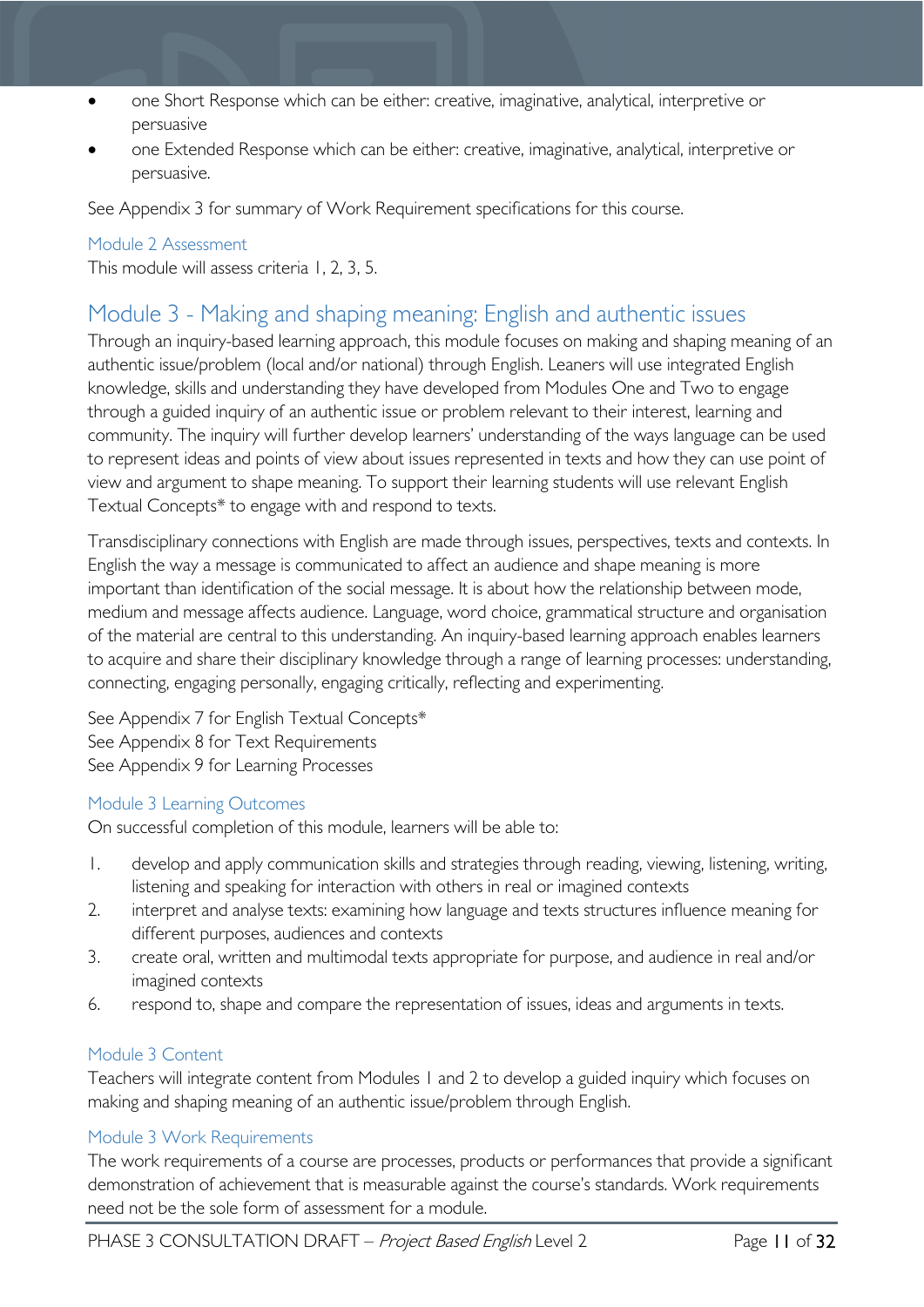- one Short Response which can be either: creative, imaginative, analytical, interpretive or persuasive
- one Extended Response which can be either: creative, imaginative, analytical, interpretive or persuasive.

See Appendix 3 for summary of Work Requirement specifications for this course.

#### <span id="page-10-0"></span>Module 2 Assessment

This module will assess criteria 1, 2, 3, 5.

### <span id="page-10-1"></span>Module 3 - Making and shaping meaning: English and authentic issues

Through an inquiry-based learning approach, this module focuses on making and shaping meaning of an authentic issue/problem (local and/or national) through English. Leaners will use integrated English knowledge, skills and understanding they have developed from Modules One and Two to engage through a guided inquiry of an authentic issue or problem relevant to their interest, learning and community. The inquiry will further develop learners' understanding of the ways language can be used to represent ideas and points of view about issues represented in texts and how they can use point of view and argument to shape meaning. To support their learning students will use relevant English Textual Concepts\* to engage with and respond to texts.

Transdisciplinary connections with English are made through issues, perspectives, texts and contexts. In English the way a message is communicated to affect an audience and shape meaning is more important than identification of the social message. It is about how the relationship between mode, medium and message affects audience. Language, word choice, grammatical structure and organisation of the material are central to this understanding. An inquiry-based learning approach enables learners to acquire and share their disciplinary knowledge through a range of learning processes: understanding, connecting, engaging personally, engaging critically, reflecting and experimenting.

See Appendix 7 for English Textual Concepts\* See Appendix 8 for Text Requirements See Appendix 9 for Learning Processes

#### <span id="page-10-2"></span>Module 3 Learning Outcomes

On successful completion of this module, learners will be able to:

- 1. develop and apply communication skills and strategies through reading, viewing, listening, writing, listening and speaking for interaction with others in real or imagined contexts
- 2. interpret and analyse texts: examining how language and texts structures influence meaning for different purposes, audiences and contexts
- 3. create oral, written and multimodal texts appropriate for purpose, and audience in real and/or imagined contexts
- 6. respond to, shape and compare the representation of issues, ideas and arguments in texts.

#### <span id="page-10-3"></span>Module 3 Content

Teachers will integrate content from Modules 1 and 2 to develop a guided inquiry which focuses on making and shaping meaning of an authentic issue/problem through English.

#### <span id="page-10-4"></span>Module 3 Work Requirements

The work requirements of a course are processes, products or performances that provide a significant demonstration of achievement that is measurable against the course's standards. Work requirements need not be the sole form of assessment for a module.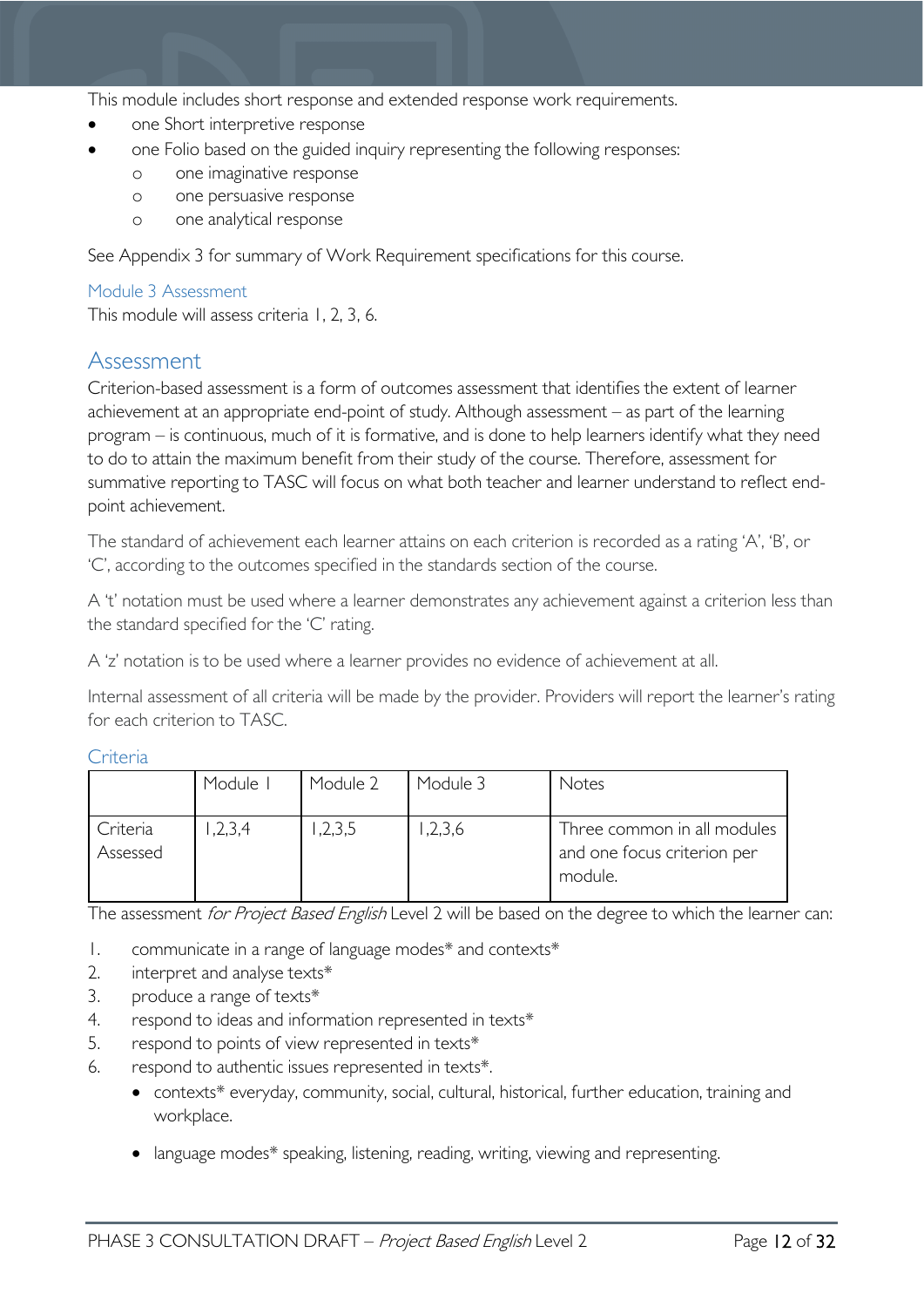This module includes short response and extended response work requirements.

- one Short interpretive response
- one Folio based on the guided inquiry representing the following responses:
	- o one imaginative response
	- o one persuasive response
	- o one analytical response

See Appendix 3 for summary of Work Requirement specifications for this course.

#### <span id="page-11-0"></span>Module 3 Assessment

This module will assess criteria 1, 2, 3, 6.

### <span id="page-11-1"></span>Assessment

Criterion-based assessment is a form of outcomes assessment that identifies the extent of learner achievement at an appropriate end-point of study. Although assessment – as part of the learning program – is continuous, much of it is formative, and is done to help learners identify what they need to do to attain the maximum benefit from their study of the course. Therefore, assessment for summative reporting to TASC will focus on what both teacher and learner understand to reflect endpoint achievement.

The standard of achievement each learner attains on each criterion is recorded as a rating 'A', 'B', or 'C', according to the outcomes specified in the standards section of the course.

A 't' notation must be used where a learner demonstrates any achievement against a criterion less than the standard specified for the 'C' rating.

A 'z' notation is to be used where a learner provides no evidence of achievement at all.

Internal assessment of all criteria will be made by the provider. Providers will report the learner's rating for each criterion to TASC.

<span id="page-11-2"></span>

| ⊶ |  |
|---|--|
|   |  |

|                      | Module I | Module 2 | Module 3 | Notes                                                                 |
|----------------------|----------|----------|----------|-----------------------------------------------------------------------|
| Criteria<br>Assessed | 1,2,3,4  | ,2,3,5   | ,2,3,6   | Three common in all modules<br>and one focus criterion per<br>module. |

The assessment for Project Based English Level 2 will be based on the degree to which the learner can:

- 1. communicate in a range of language modes\* and contexts\*
- 2. interpret and analyse texts\*
- 3. produce a range of texts\*
- 4. respond to ideas and information represented in texts\*
- 5. respond to points of view represented in texts\*
- 6. respond to authentic issues represented in texts\*.
	- contexts\* everyday, community, social, cultural, historical, further education, training and workplace.
	- language modes\* speaking, listening, reading, writing, viewing and representing.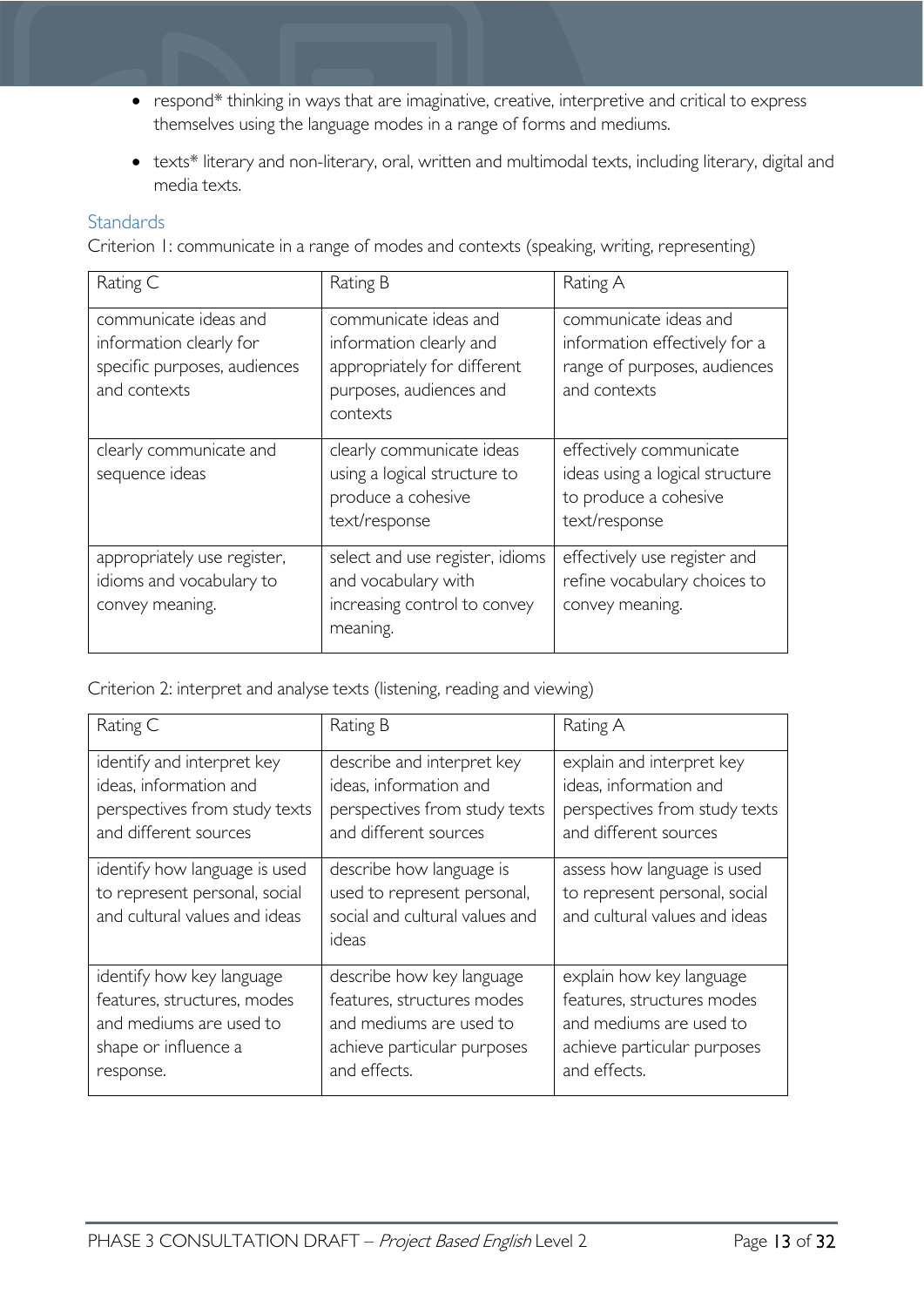- respond\* thinking in ways that are imaginative, creative, interpretive and critical to express themselves using the language modes in a range of forms and mediums.
- texts\* literary and non-literary, oral, written and multimodal texts, including literary, digital and media texts.

#### <span id="page-12-0"></span>**Standards**

Criterion 1: communicate in a range of modes and contexts (speaking, writing, representing)

| Rating C                                                                                         | Rating B                                                                                                               | Rating A                                                                                               |
|--------------------------------------------------------------------------------------------------|------------------------------------------------------------------------------------------------------------------------|--------------------------------------------------------------------------------------------------------|
| communicate ideas and<br>information clearly for<br>specific purposes, audiences<br>and contexts | communicate ideas and<br>information clearly and<br>appropriately for different<br>purposes, audiences and<br>contexts | communicate ideas and<br>information effectively for a<br>range of purposes, audiences<br>and contexts |
| clearly communicate and<br>sequence ideas                                                        | clearly communicate ideas<br>using a logical structure to<br>produce a cohesive<br>text/response                       | effectively communicate<br>ideas using a logical structure<br>to produce a cohesive<br>text/response   |
| appropriately use register,<br>idioms and vocabulary to<br>convey meaning.                       | select and use register, idioms<br>and vocabulary with<br>increasing control to convey<br>meaning.                     | effectively use register and<br>refine vocabulary choices to<br>convey meaning.                        |

Criterion 2: interpret and analyse texts (listening, reading and viewing)

| Rating C                                                                                        | Rating B                                                                                           | Rating A                                                                                      |
|-------------------------------------------------------------------------------------------------|----------------------------------------------------------------------------------------------------|-----------------------------------------------------------------------------------------------|
| identify and interpret key                                                                      | describe and interpret key                                                                         | explain and interpret key                                                                     |
| ideas, information and                                                                          | ideas, information and                                                                             | ideas, information and                                                                        |
| perspectives from study texts                                                                   | perspectives from study texts                                                                      | perspectives from study texts                                                                 |
| and different sources                                                                           | and different sources                                                                              | and different sources                                                                         |
| identify how language is used<br>to represent personal, social<br>and cultural values and ideas | describe how language is<br>used to represent personal,<br>social and cultural values and<br>ideas | assess how language is used<br>to represent personal, social<br>and cultural values and ideas |
| identify how key language                                                                       | describe how key language                                                                          | explain how key language                                                                      |
| features, structures, modes                                                                     | features, structures modes                                                                         | features, structures modes                                                                    |
| and mediums are used to                                                                         | and mediums are used to                                                                            | and mediums are used to                                                                       |
| shape or influence a                                                                            | achieve particular purposes                                                                        | achieve particular purposes                                                                   |
| response.                                                                                       | and effects.                                                                                       | and effects.                                                                                  |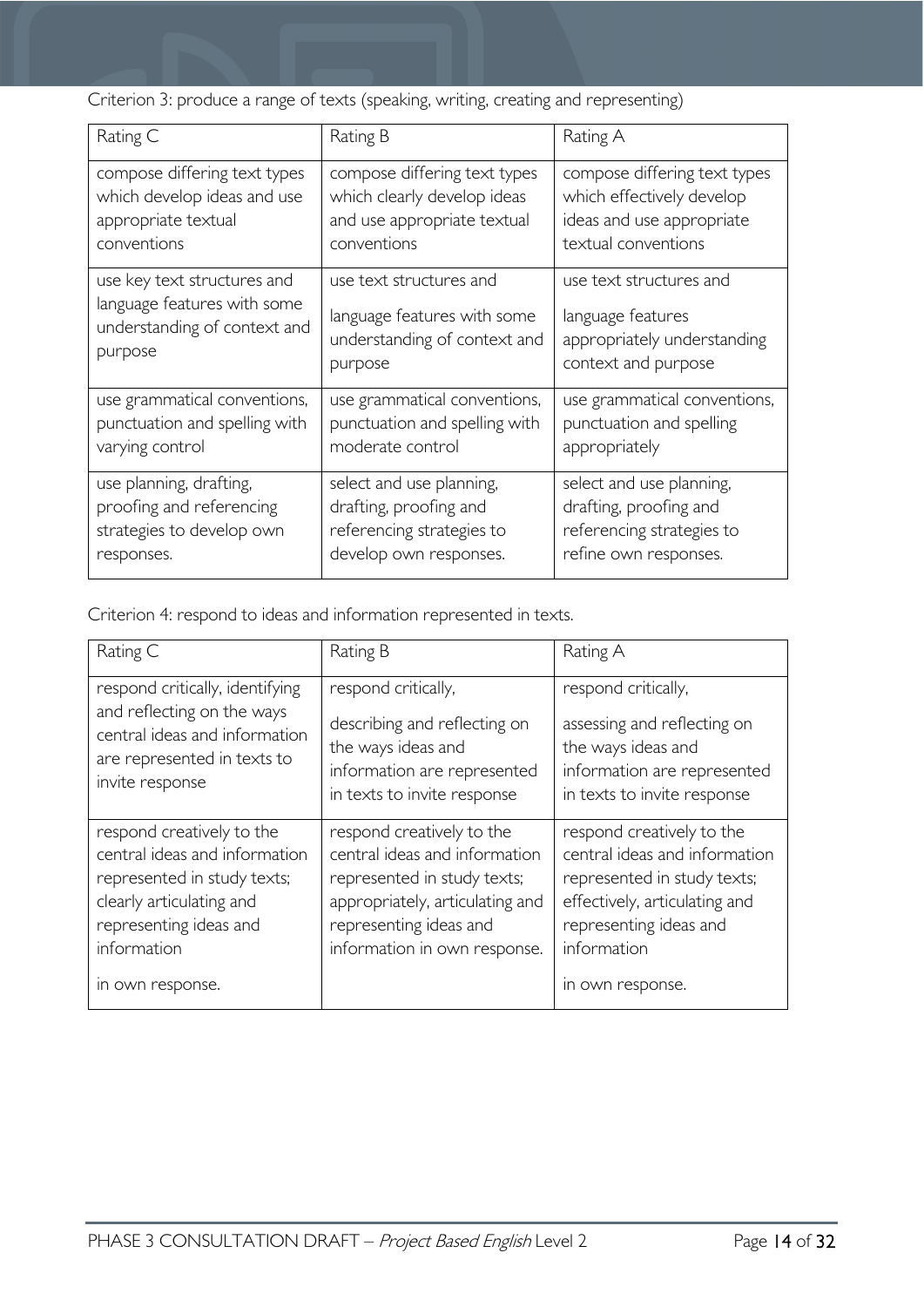Criterion 3: produce a range of texts (speaking, writing, creating and representing)

| Rating C                      | Rating B                      | Rating A                     |
|-------------------------------|-------------------------------|------------------------------|
| compose differing text types  | compose differing text types  | compose differing text types |
| which develop ideas and use   | which clearly develop ideas   | which effectively develop    |
| appropriate textual           | and use appropriate textual   | ideas and use appropriate    |
| conventions                   | conventions                   | textual conventions          |
| use key text structures and   | use text structures and       | use text structures and      |
| language features with some   | language features with some   | language features            |
| understanding of context and  | understanding of context and  | appropriately understanding  |
| purpose                       | purpose                       | context and purpose          |
| use grammatical conventions,  | use grammatical conventions,  | use grammatical conventions, |
| punctuation and spelling with | punctuation and spelling with | punctuation and spelling     |
| varying control               | moderate control              | appropriately                |
| use planning, drafting,       | select and use planning,      | select and use planning,     |
| proofing and referencing      | drafting, proofing and        | drafting, proofing and       |
| strategies to develop own     | referencing strategies to     | referencing strategies to    |
| responses.                    | develop own responses.        | refine own responses.        |

Criterion 4: respond to ideas and information represented in texts.

| Rating C                                                                                                                                                                           | Rating B                                                                                                                                                                               | Rating A                                                                                                                                                                                |
|------------------------------------------------------------------------------------------------------------------------------------------------------------------------------------|----------------------------------------------------------------------------------------------------------------------------------------------------------------------------------------|-----------------------------------------------------------------------------------------------------------------------------------------------------------------------------------------|
| respond critically, identifying<br>and reflecting on the ways<br>central ideas and information<br>are represented in texts to<br>invite response                                   | respond critically,<br>describing and reflecting on<br>the ways ideas and<br>information are represented<br>in texts to invite response                                                | respond critically,<br>assessing and reflecting on<br>the ways ideas and<br>information are represented<br>in texts to invite response                                                  |
| respond creatively to the<br>central ideas and information<br>represented in study texts;<br>clearly articulating and<br>representing ideas and<br>information<br>in own response. | respond creatively to the<br>central ideas and information<br>represented in study texts;<br>appropriately, articulating and<br>representing ideas and<br>information in own response. | respond creatively to the<br>central ideas and information<br>represented in study texts;<br>effectively, articulating and<br>representing ideas and<br>information<br>in own response. |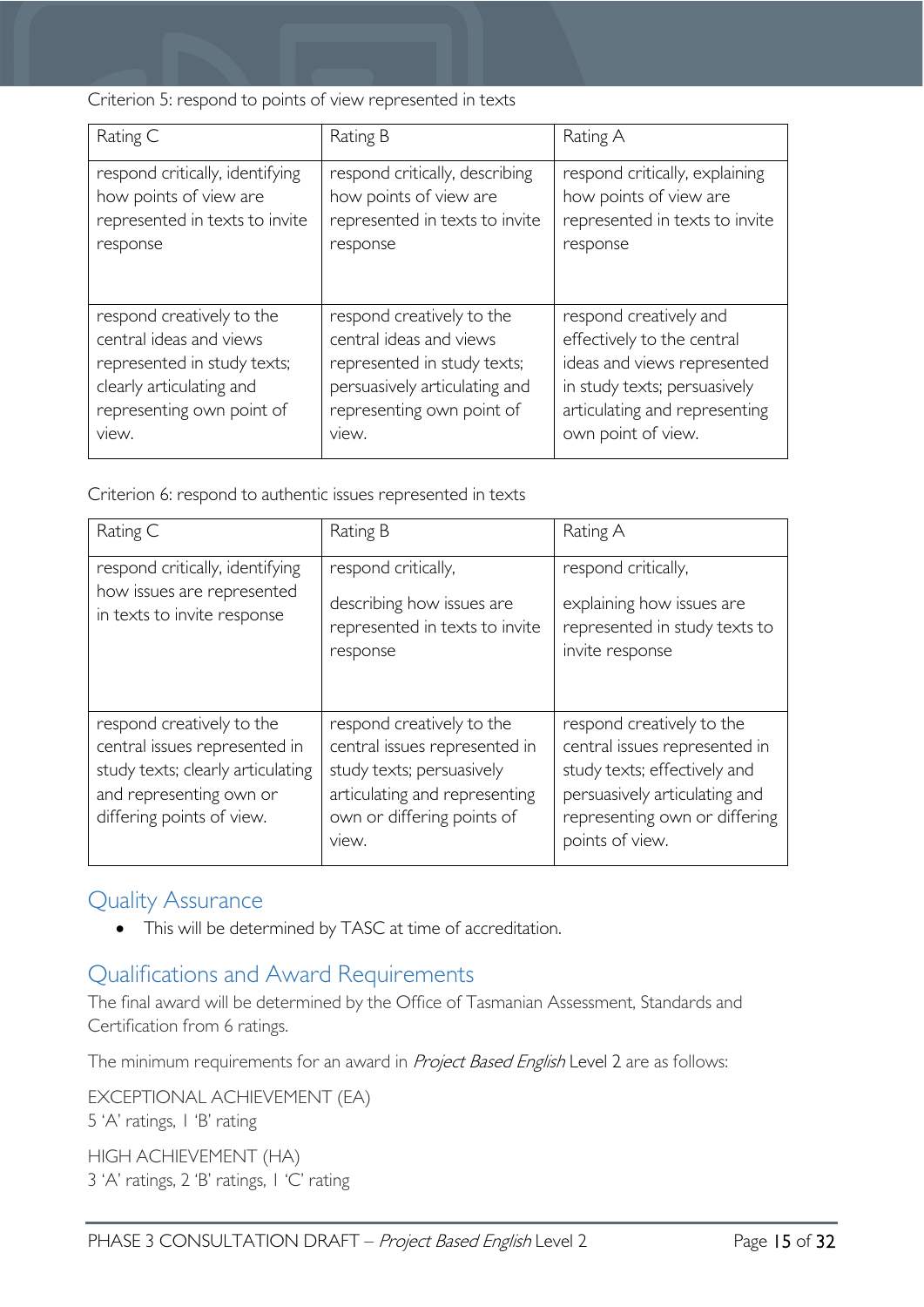Criterion 5: respond to points of view represented in texts

| Rating C                        | Rating B                       | Rating A                       |
|---------------------------------|--------------------------------|--------------------------------|
| respond critically, identifying | respond critically, describing | respond critically, explaining |
| how points of view are          | how points of view are         | how points of view are         |
| represented in texts to invite  | represented in texts to invite | represented in texts to invite |
| response                        | response                       | response                       |
| respond creatively to the       | respond creatively to the      | respond creatively and         |
| central ideas and views         | central ideas and views        | effectively to the central     |
| represented in study texts;     | represented in study texts;    | ideas and views represented    |
| clearly articulating and        | persuasively articulating and  | in study texts; persuasively   |
| representing own point of       | representing own point of      | articulating and representing  |
| view.                           | view.                          | own point of view.             |

Criterion 6: respond to authentic issues represented in texts

| Rating C                                                                                                                                                | Rating B                                                                                                                                                        | Rating A                                                                                                                                                                        |
|---------------------------------------------------------------------------------------------------------------------------------------------------------|-----------------------------------------------------------------------------------------------------------------------------------------------------------------|---------------------------------------------------------------------------------------------------------------------------------------------------------------------------------|
| respond critically, identifying<br>how issues are represented<br>in texts to invite response                                                            | respond critically,<br>describing how issues are<br>represented in texts to invite<br>response                                                                  | respond critically,<br>explaining how issues are<br>represented in study texts to<br>invite response                                                                            |
| respond creatively to the<br>central issues represented in<br>study texts; clearly articulating<br>and representing own or<br>differing points of view. | respond creatively to the<br>central issues represented in<br>study texts; persuasively<br>articulating and representing<br>own or differing points of<br>view. | respond creatively to the<br>central issues represented in<br>study texts; effectively and<br>persuasively articulating and<br>representing own or differing<br>points of view. |

### <span id="page-14-0"></span>Quality Assurance

• This will be determined by TASC at time of accreditation.

### <span id="page-14-1"></span>Qualifications and Award Requirements

The final award will be determined by the Office of Tasmanian Assessment, Standards and Certification from 6 ratings.

The minimum requirements for an award in *Project Based English* Level 2 are as follows:

EXCEPTIONAL ACHIEVEMENT (EA) 5 'A' ratings, 1 'B' rating HIGH ACHIEVEMENT (HA)

3 'A' ratings, 2 'B' ratings, 1 'C' rating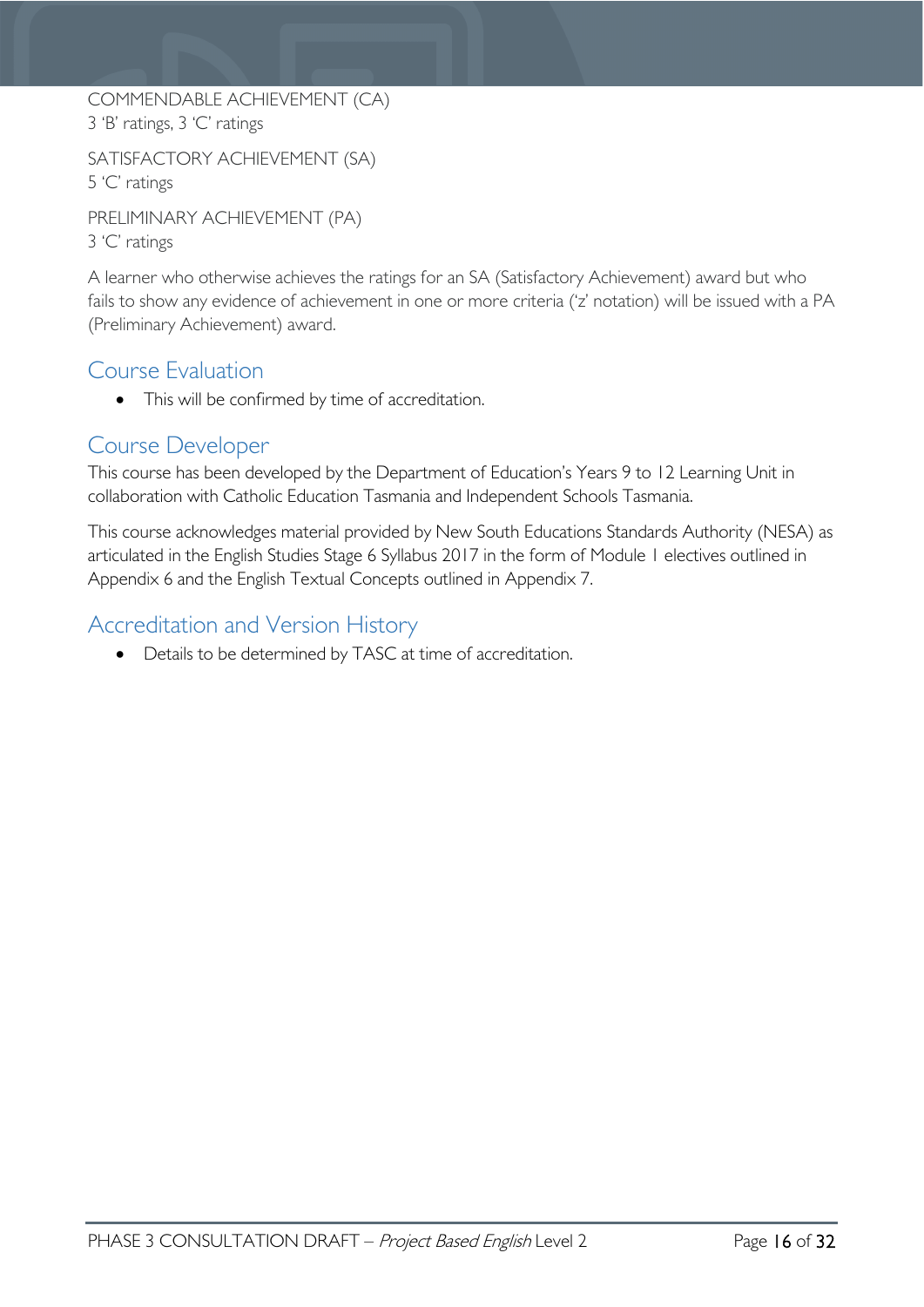#### COMMENDABLE ACHIEVEMENT (CA) 3 'B' ratings, 3 'C' ratings

SATISFACTORY ACHIEVEMENT (SA) 5 'C' ratings

PRELIMINARY ACHIEVEMENT (PA) 3 'C' ratings

A learner who otherwise achieves the ratings for an SA (Satisfactory Achievement) award but who fails to show any evidence of achievement in one or more criteria ('z' notation) will be issued with a PA (Preliminary Achievement) award.

### <span id="page-15-0"></span>Course Evaluation

• This will be confirmed by time of accreditation.

### <span id="page-15-1"></span>Course Developer

This course has been developed by the Department of Education's Years 9 to 12 Learning Unit in collaboration with Catholic Education Tasmania and Independent Schools Tasmania.

This course acknowledges material provided by New South Educations Standards Authority (NESA) as articulated in the English Studies Stage 6 Syllabus 2017 in the form of Module 1 electives outlined in Appendix 6 and the English Textual Concepts outlined in Appendix 7.

### <span id="page-15-2"></span>Accreditation and Version History

• Details to be determined by TASC at time of accreditation.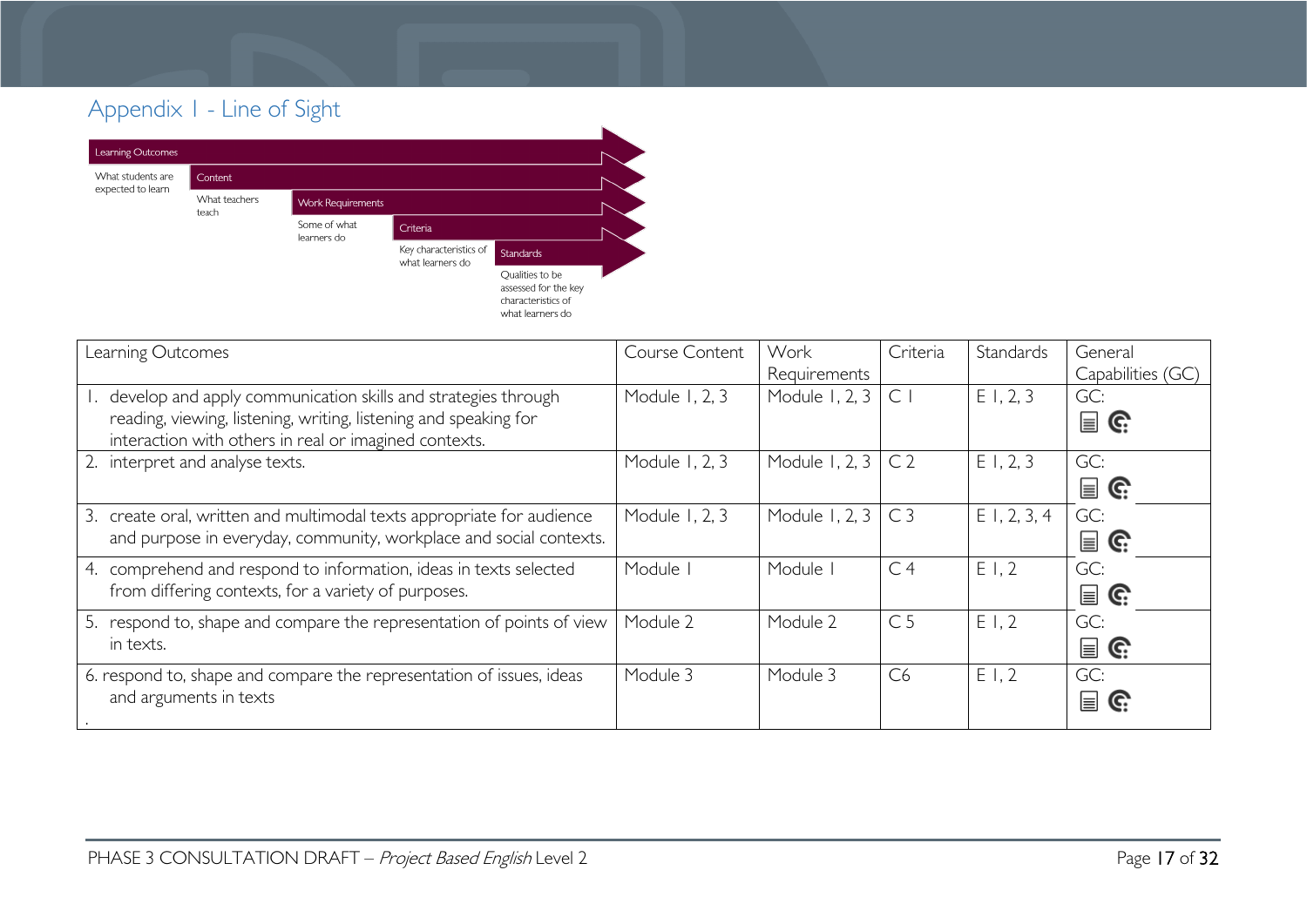### Appendix 1 - Line of Sight



<span id="page-16-0"></span>

| Learning Outcomes                                                                                                                                                                             | Course Content | Work<br>Requirements | Criteria       | Standards      | General<br>Capabilities (GC)         |
|-----------------------------------------------------------------------------------------------------------------------------------------------------------------------------------------------|----------------|----------------------|----------------|----------------|--------------------------------------|
| 1. develop and apply communication skills and strategies through<br>reading, viewing, listening, writing, listening and speaking for<br>interaction with others in real or imagined contexts. | Module 1, 2, 3 | Module 1, 2, 3       | $\mathsf{C}$   | E1, 2, 3       | GC:<br>$\mathbf{r} \in \mathbb{R}^n$ |
| 2. interpret and analyse texts.                                                                                                                                                               | Module 1, 2, 3 | Module 1, 2, 3       | C <sub>2</sub> | E1, 2, 3       | GC:<br>$\mathbf{\mathsf{E}}$ G       |
| 3. create oral, written and multimodal texts appropriate for audience<br>and purpose in everyday, community, workplace and social contexts.                                                   | Module 1, 2, 3 | Module 1, 2, 3       | C <sub>3</sub> | $E$ 1, 2, 3, 4 | GC:<br>$\mathbf{r} \in \mathbb{C}^2$ |
| 4. comprehend and respond to information, ideas in texts selected<br>from differing contexts, for a variety of purposes.                                                                      | Module         | Module               | C <sub>4</sub> | E1,2           | GC:<br>$\mathbf{r} \in \mathbb{R}^n$ |
| 5. respond to, shape and compare the representation of points of view<br>in texts.                                                                                                            | Module 2       | Module 2             | C <sub>5</sub> | E1,2           | GC:<br>$\mathbf{r} \in \mathbb{R}^n$ |
| 6. respond to, shape and compare the representation of issues, ideas<br>and arguments in texts                                                                                                | Module 3       | Module 3             | C <sub>6</sub> | E1,2           | GC:<br>$\equiv$<br>C.                |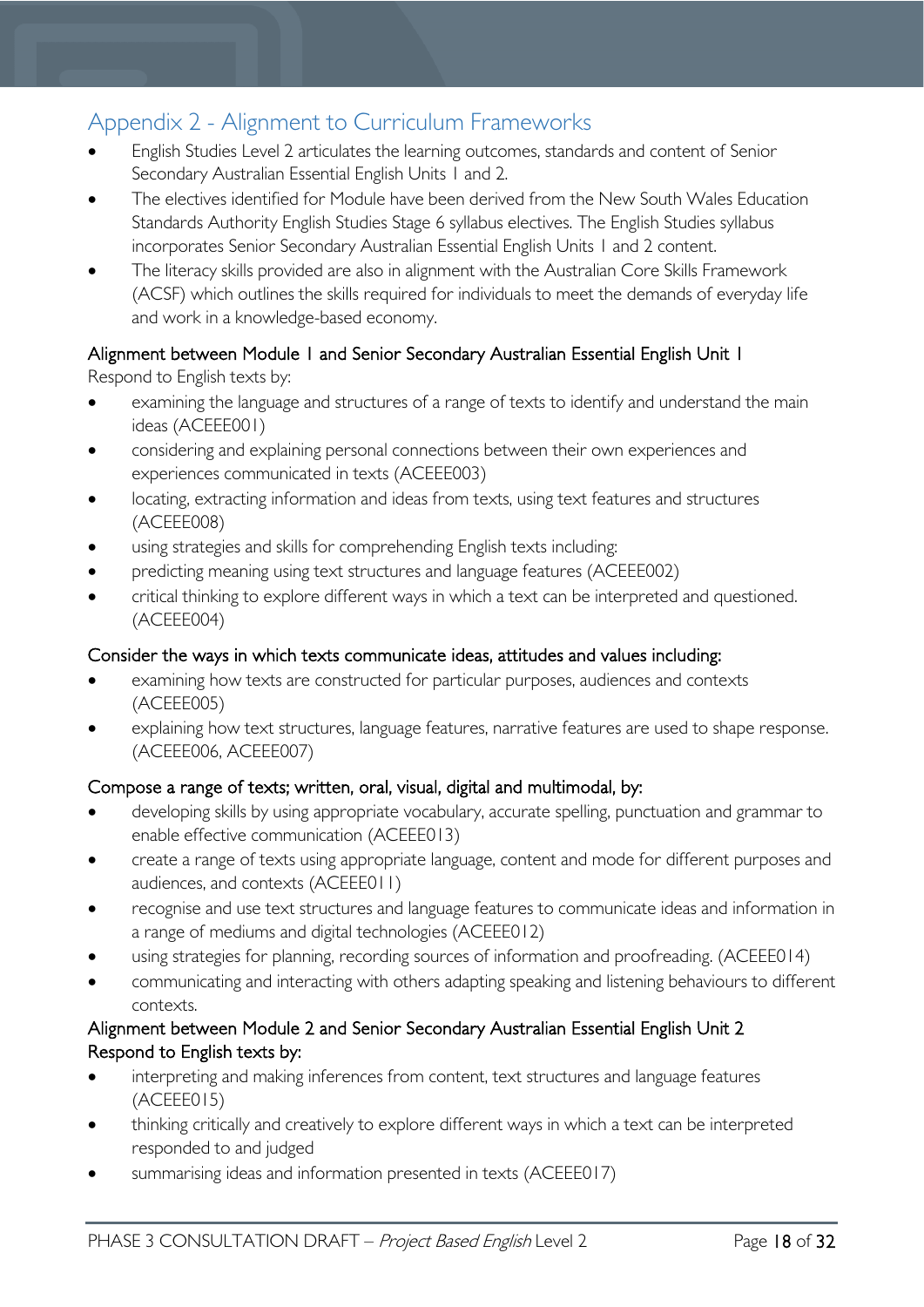### <span id="page-17-0"></span>Appendix 2 - Alignment to Curriculum Frameworks

- English Studies Level 2 articulates the learning outcomes, standards and content of Senior Secondary Australian Essential English Units 1 and 2.
- The electives identified for Module have been derived from the New South Wales Education Standards Authority English Studies Stage 6 syllabus electives. The English Studies syllabus incorporates Senior Secondary Australian Essential English Units 1 and 2 content.
- The literacy skills provided are also in alignment with the Australian Core Skills Framework (ACSF) which outlines the skills required for individuals to meet the demands of everyday life and work in a knowledge-based economy.

## Alignment between Module 1 and Senior Secondary Australian Essential English Unit 1

Respond to English texts by:

- examining the language and structures of a range of texts to identify and understand the main ideas (ACEEE001)
- considering and explaining personal connections between their own experiences and experiences communicated in texts (ACEEE003)
- locating, extracting information and ideas from texts, using text features and structures (ACEEE008)
- using strategies and skills for comprehending English texts including:
- predicting meaning using text structures and language features (ACEEE002)
- critical thinking to explore different ways in which a text can be interpreted and questioned. (ACEEE004)

#### Consider the ways in which texts communicate ideas, attitudes and values including:

- examining how texts are constructed for particular purposes, audiences and contexts (ACEEE005)
- explaining how text structures, language features, narrative features are used to shape response. (ACEEE006, ACEEE007)

#### Compose a range of texts; written, oral, visual, digital and multimodal, by:

- developing skills by using appropriate vocabulary, accurate spelling, punctuation and grammar to enable effective communication (ACEEE013)
- create a range of texts using appropriate language, content and mode for different purposes and audiences, and contexts (ACEEE011)
- recognise and use text structures and language features to communicate ideas and information in a range of mediums and digital technologies (ACEEE012)
- using strategies for planning, recording sources of information and proofreading. (ACEEE014)
- communicating and interacting with others adapting speaking and listening behaviours to different contexts.

#### Alignment between Module 2 and Senior Secondary Australian Essential English Unit 2 Respond to English texts by:

- interpreting and making inferences from content, text structures and language features (ACEEE015)
- thinking critically and creatively to explore different ways in which a text can be interpreted responded to and judged
- summarising ideas and information presented in texts (ACEEE017)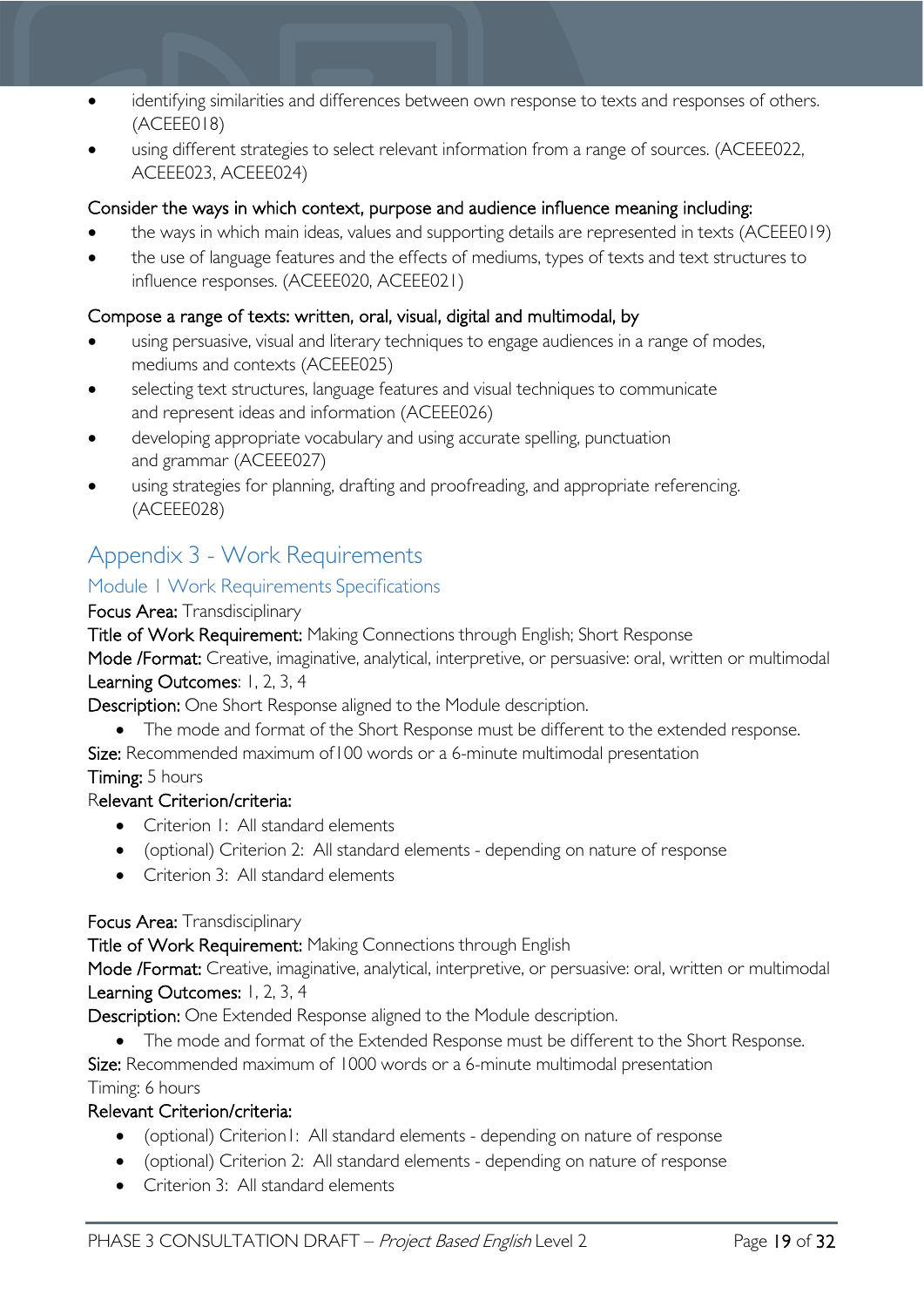- identifying similarities and differences between own response to texts and responses of others. (ACEEE018)
- using different strategies to select relevant information from a range of sources. (ACEEE022, ACEEE023, ACEEE024)

#### Consider the ways in which context, purpose and audience influence meaning including:

- the ways in which main ideas, values and supporting details are represented in texts (ACEEE019)
- the use of language features and the effects of mediums, types of texts and text structures to influence responses. (ACEEE020, ACEEE021)

#### Compose a range of texts: written, oral, visual, digital and multimodal, by

- using persuasive, visual and literary techniques to engage audiences in a range of modes, mediums and contexts (ACEEE025)
- selecting text structures, language features and visual techniques to communicate and represent ideas and information (ACEEE026)
- developing appropriate vocabulary and using accurate spelling, punctuation and grammar (ACEEE027)
- using strategies for planning, drafting and proofreading, and appropriate referencing. (ACEEE028)

### <span id="page-18-0"></span>Appendix 3 - Work Requirements

#### <span id="page-18-1"></span>Module 1 Work Requirements Specifications

#### Focus Area: Transdisciplinary

Title of Work Requirement: Making Connections through English; Short Response

Mode /Format: Creative, imaginative, analytical, interpretive, or persuasive: oral, written or multimodal Learning Outcomes: 1, 2, 3, 4

Description: One Short Response aligned to the Module description.

- The mode and format of the Short Response must be different to the extended response.
- Size: Recommended maximum of 100 words or a 6-minute multimodal presentation

#### Timing: 5 hours

#### Relevant Criterion/criteria:

- Criterion I: All standard elements
- (optional) Criterion 2: All standard elements depending on nature of response
- Criterion 3: All standard elements

#### Focus Area: Transdisciplinary

Title of Work Requirement: Making Connections through English

Mode /Format: Creative, imaginative, analytical, interpretive, or persuasive: oral, written or multimodal Learning Outcomes: 1, 2, 3, 4

Description: One Extended Response aligned to the Module description.

• The mode and format of the Extended Response must be different to the Short Response.

Size: Recommended maximum of 1000 words or a 6-minute multimodal presentation Timing: 6 hours

#### Relevant Criterion/criteria:

- (optional) Criterion1: All standard elements depending on nature of response
- (optional) Criterion 2: All standard elements depending on nature of response
- Criterion 3: All standard elements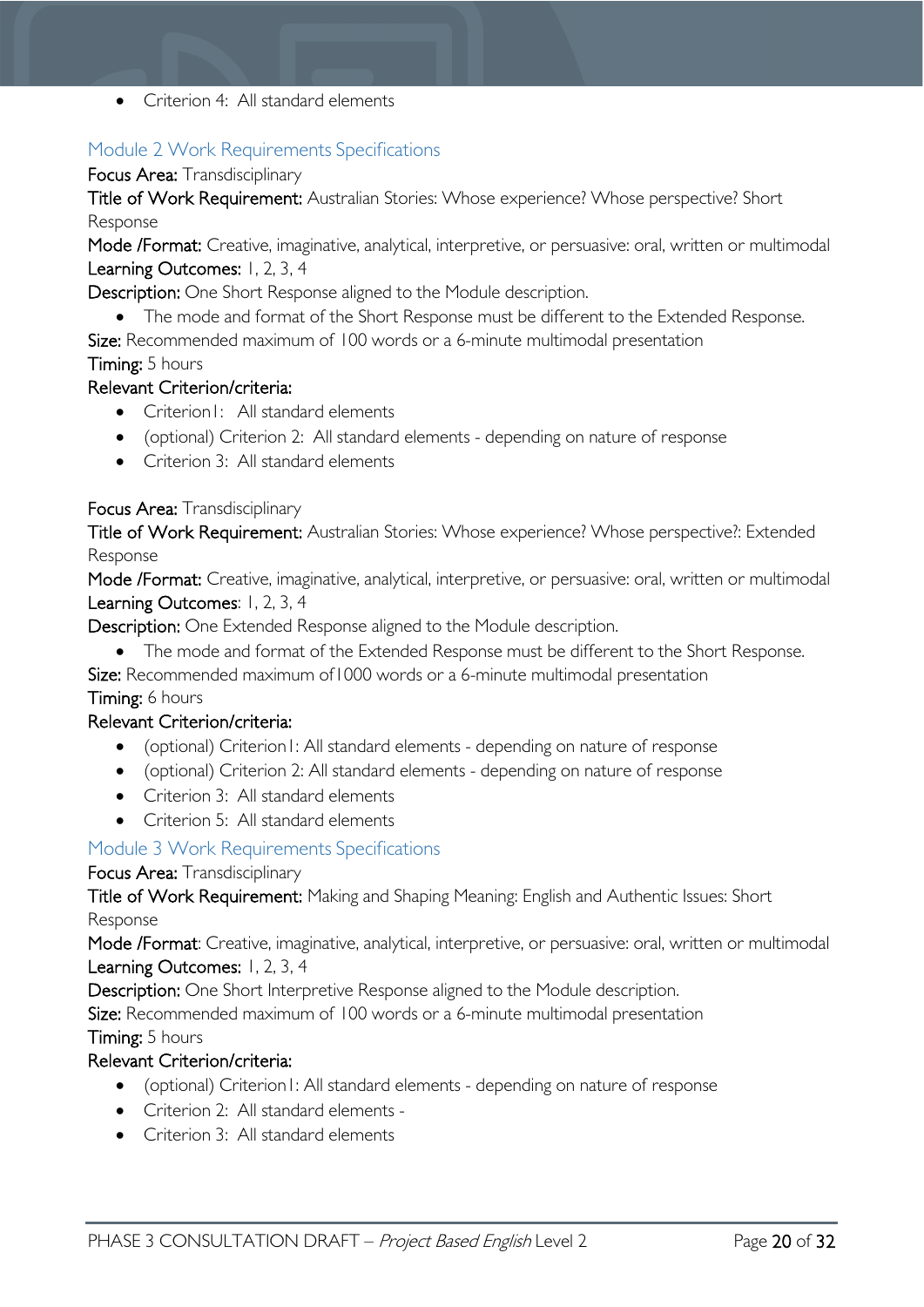• Criterion 4: All standard elements

#### <span id="page-19-0"></span>Module 2 Work Requirements Specifications

#### Focus Area: Transdisciplinary

Title of Work Requirement: Australian Stories: Whose experience? Whose perspective? Short Response

Mode /Format: Creative, imaginative, analytical, interpretive, or persuasive: oral, written or multimodal Learning Outcomes: 1, 2, 3, 4

Description: One Short Response aligned to the Module description.

- The mode and format of the Short Response must be different to the Extended Response.
- Size: Recommended maximum of 100 words or a 6-minute multimodal presentation Timing: 5 hours

#### Relevant Criterion/criteria:

- Criterion1: All standard elements
- (optional) Criterion 2: All standard elements depending on nature of response
- Criterion 3: All standard elements

#### Focus Area: Transdisciplinary

Title of Work Requirement: Australian Stories: Whose experience? Whose perspective?: Extended Response

Mode /Format: Creative, imaginative, analytical, interpretive, or persuasive: oral, written or multimodal Learning Outcomes: 1, 2, 3, 4

Description: One Extended Response aligned to the Module description.

- The mode and format of the Extended Response must be different to the Short Response.
- Size: Recommended maximum of1000 words or a 6-minute multimodal presentation

#### Timing: 6 hours

#### Relevant Criterion/criteria:

- (optional) Criterion1: All standard elements depending on nature of response
- (optional) Criterion 2: All standard elements depending on nature of response
- Criterion 3: All standard elements
- Criterion 5: All standard elements

#### <span id="page-19-1"></span>Module 3 Work Requirements Specifications

#### Focus Area: Transdisciplinary

Title of Work Requirement: Making and Shaping Meaning: English and Authentic Issues: Short Response

Mode /Format: Creative, imaginative, analytical, interpretive, or persuasive: oral, written or multimodal Learning Outcomes: 1, 2, 3, 4

Description: One Short Interpretive Response aligned to the Module description.

Size: Recommended maximum of 100 words or a 6-minute multimodal presentation Timing: 5 hours

### Relevant Criterion/criteria:

- (optional) Criterion1: All standard elements depending on nature of response
- Criterion 2: All standard elements -
- Criterion 3: All standard elements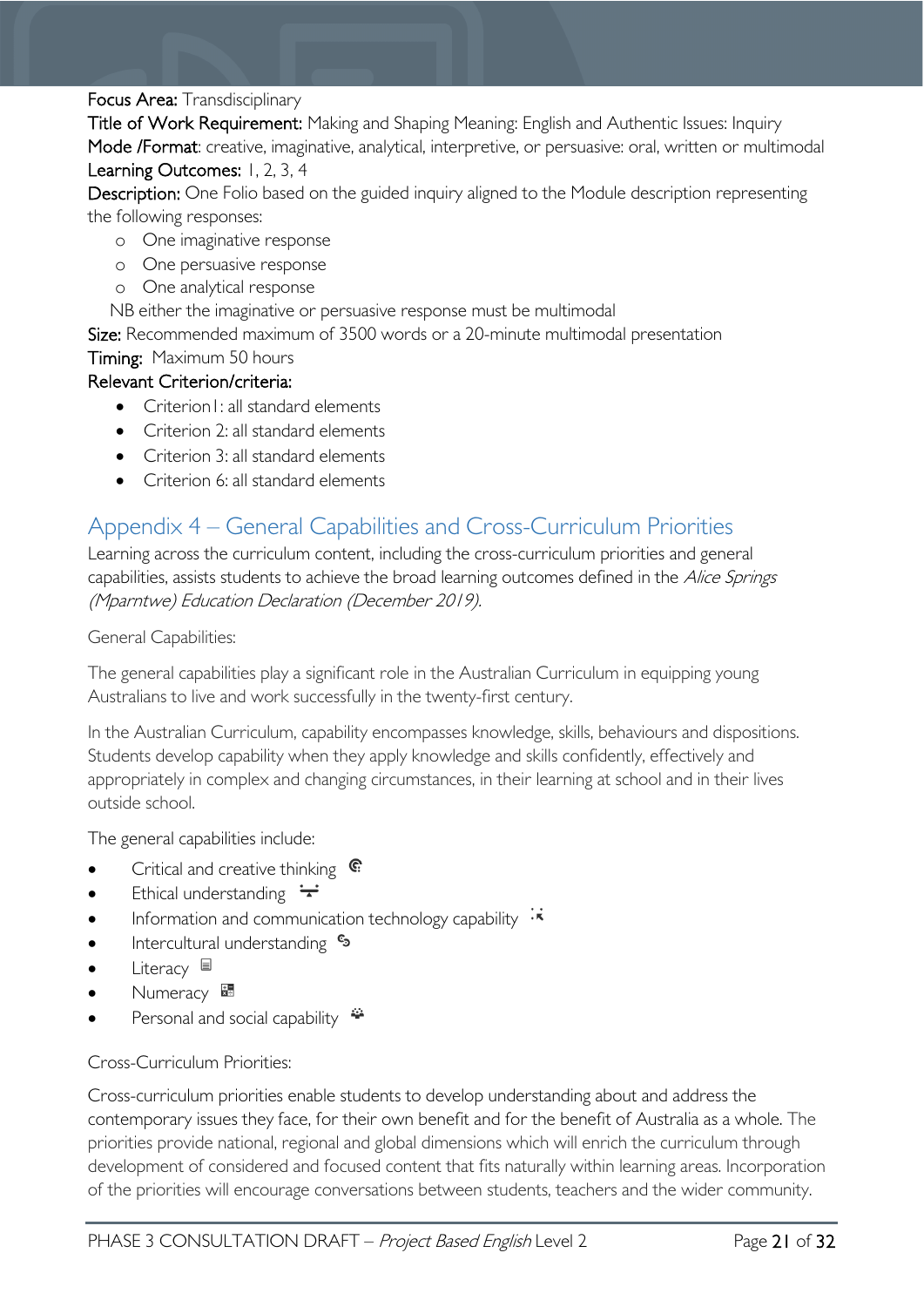#### Focus Area: Transdisciplinary

Title of Work Requirement: Making and Shaping Meaning: English and Authentic Issues: Inquiry Mode /Format: creative, imaginative, analytical, interpretive, or persuasive: oral, written or multimodal Learning Outcomes: 1, 2, 3, 4

Description: One Folio based on the guided inquiry aligned to the Module description representing the following responses:

- o One imaginative response
- o One persuasive response
- o One analytical response

NB either the imaginative or persuasive response must be multimodal

Size: Recommended maximum of 3500 words or a 20-minute multimodal presentation Timing: Maximum 50 hours

#### Relevant Criterion/criteria:

- Criterion L: all standard elements
- Criterion 2: all standard elements
- Criterion 3: all standard elements
- Criterion 6: all standard elements

### <span id="page-20-0"></span>Appendix 4 – General Capabilities and Cross-Curriculum Priorities

Learning across the curriculum content, including the cross-curriculum priorities and general capabilities, assists students to achieve the broad learning outcomes defined in the Alice Springs (Mparntwe) Education Declaration (December 2019).

General Capabilities:

The general capabilities play a significant role in the Australian Curriculum in equipping young Australians to live and work successfully in the twenty-first century.

In the Australian Curriculum, capability encompasses knowledge, skills, behaviours and dispositions. Students develop capability when they apply knowledge and skills confidently, effectively and appropriately in complex and changing circumstances, in their learning at school and in their lives outside school.

The general capabilities include:

- Critical and creative thinking G:
- Ethical understanding  $\div$
- Information and communication technology capability  $\cdot \star$
- **Intercultural understanding S**
- Literacy  $\blacksquare$
- Numeracy **\***
- Personal and social capability  $\ddot{\bullet}$

Cross-Curriculum Priorities:

Cross-curriculum priorities enable students to develop understanding about and address the contemporary issues they face, for their own benefit and for the benefit of Australia as a whole. The priorities provide national, regional and global dimensions which will enrich the curriculum through development of considered and focused content that fits naturally within learning areas. Incorporation of the priorities will encourage conversations between students, teachers and the wider community.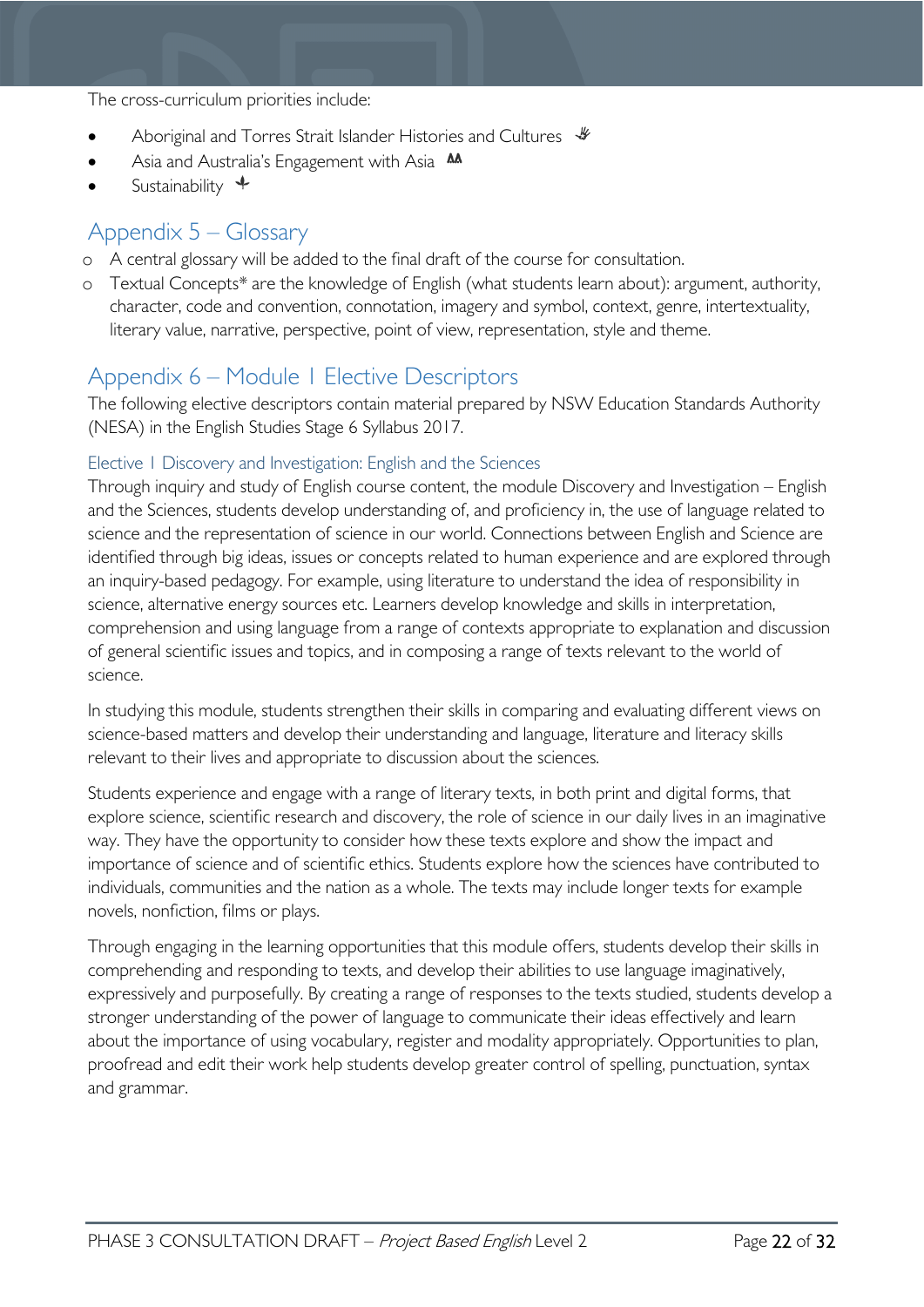The cross-curriculum priorities include:

- Aboriginal and Torres Strait Islander Histories and Cultures  $\mathcal$
- Asia and Australia's Engagement with Asia **M**
- Sustainability  $\triangleq$

### <span id="page-21-0"></span>Appendix 5 – Glossary

- o A central glossary will be added to the final draft of the course for consultation.
- o Textual Concepts\* are the knowledge of English (what students learn about): argument, authority, character, code and convention, connotation, imagery and symbol, context, genre, intertextuality, literary value, narrative, perspective, point of view, representation, style and theme.

### <span id="page-21-1"></span>Appendix 6 – Module 1 Elective Descriptors

The following elective descriptors contain material prepared by NSW Education Standards Authority (NESA) in the English Studies Stage 6 Syllabus 2017.

#### <span id="page-21-2"></span>Elective 1 Discovery and Investigation: English and the Sciences

Through inquiry and study of English course content, the module Discovery and Investigation – English and the Sciences, students develop understanding of, and proficiency in, the use of language related to science and the representation of science in our world. Connections between English and Science are identified through big ideas, issues or concepts related to human experience and are explored through an inquiry-based pedagogy. For example, using literature to understand the idea of responsibility in science, alternative energy sources etc. Learners develop knowledge and skills in interpretation, comprehension and using language from a range of contexts appropriate to explanation and discussion of general scientific issues and topics, and in composing a range of texts relevant to the world of science.

In studying this module, students strengthen their skills in comparing and evaluating different views on science-based matters and develop their understanding and language, literature and literacy skills relevant to their lives and appropriate to discussion about the sciences.

Students experience and engage with a range of literary texts, in both print and digital forms, that explore science, scientific research and discovery, the role of science in our daily lives in an imaginative way. They have the opportunity to consider how these texts explore and show the impact and importance of science and of scientific ethics. Students explore how the sciences have contributed to individuals, communities and the nation as a whole. The texts may include longer texts for example novels, nonfiction, films or plays.

Through engaging in the learning opportunities that this module offers, students develop their skills in comprehending and responding to texts, and develop their abilities to use language imaginatively, expressively and purposefully. By creating a range of responses to the texts studied, students develop a stronger understanding of the power of language to communicate their ideas effectively and learn about the importance of using vocabulary, register and modality appropriately. Opportunities to plan, proofread and edit their work help students develop greater control of spelling, punctuation, syntax and grammar.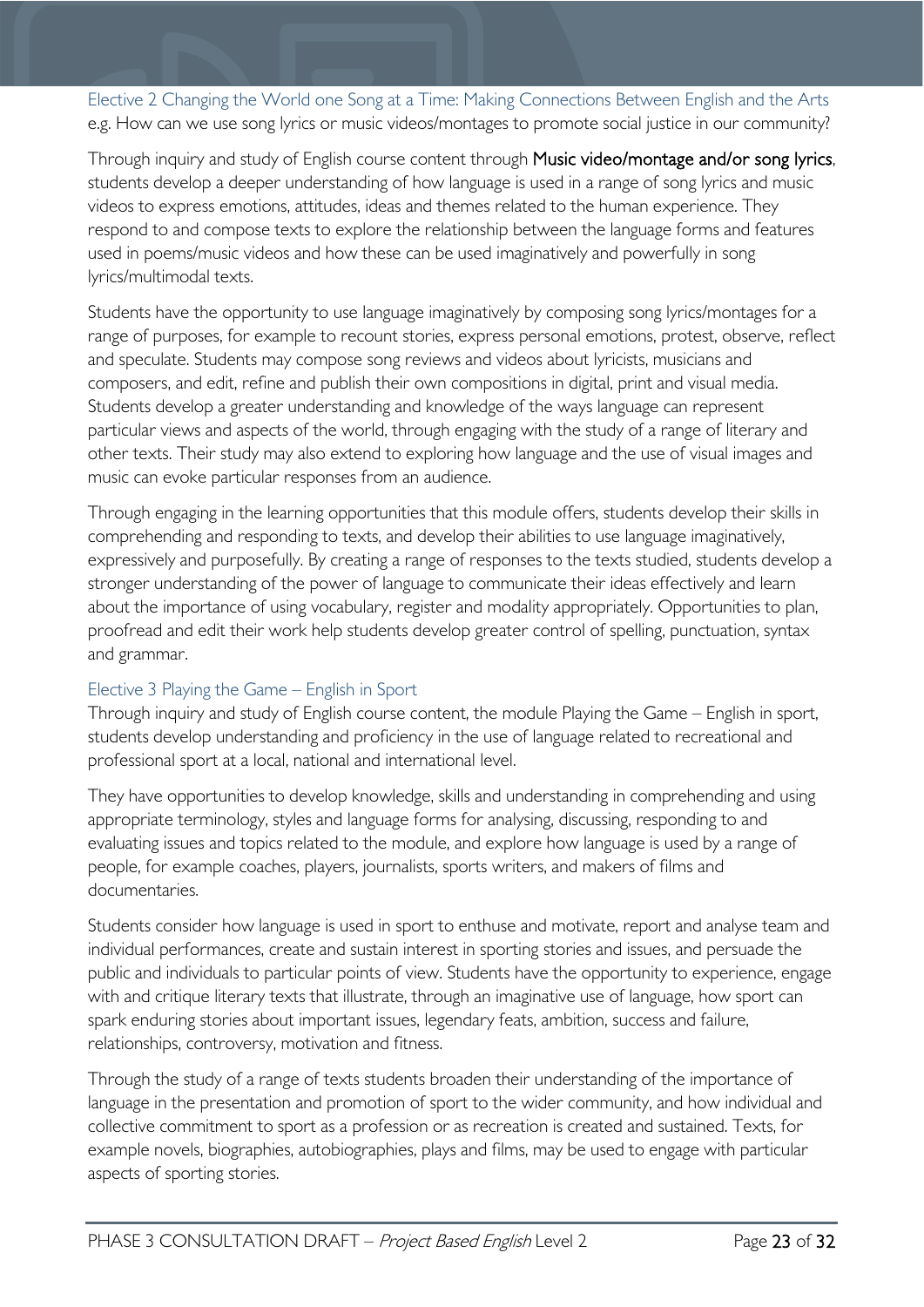<span id="page-22-0"></span>Elective 2 Changing the World one Song at a Time: Making Connections Between English and the Arts e.g. How can we use song lyrics or music videos/montages to promote social justice in our community?

Through inquiry and study of English course content through Music video/montage and/or song lyrics, students develop a deeper understanding of how language is used in a range of song lyrics and music videos to express emotions, attitudes, ideas and themes related to the human experience. They respond to and compose texts to explore the relationship between the language forms and features used in poems/music videos and how these can be used imaginatively and powerfully in song lyrics/multimodal texts.

Students have the opportunity to use language imaginatively by composing song lyrics/montages for a range of purposes, for example to recount stories, express personal emotions, protest, observe, reflect and speculate. Students may compose song reviews and videos about lyricists, musicians and composers, and edit, refine and publish their own compositions in digital, print and visual media. Students develop a greater understanding and knowledge of the ways language can represent particular views and aspects of the world, through engaging with the study of a range of literary and other texts. Their study may also extend to exploring how language and the use of visual images and music can evoke particular responses from an audience.

Through engaging in the learning opportunities that this module offers, students develop their skills in comprehending and responding to texts, and develop their abilities to use language imaginatively, expressively and purposefully. By creating a range of responses to the texts studied, students develop a stronger understanding of the power of language to communicate their ideas effectively and learn about the importance of using vocabulary, register and modality appropriately. Opportunities to plan, proofread and edit their work help students develop greater control of spelling, punctuation, syntax and grammar.

#### <span id="page-22-1"></span>Elective 3 Playing the Game – English in Sport

Through inquiry and study of English course content, the module Playing the Game – English in sport, students develop understanding and proficiency in the use of language related to recreational and professional sport at a local, national and international level.

They have opportunities to develop knowledge, skills and understanding in comprehending and using appropriate terminology, styles and language forms for analysing, discussing, responding to and evaluating issues and topics related to the module, and explore how language is used by a range of people, for example coaches, players, journalists, sports writers, and makers of films and documentaries.

Students consider how language is used in sport to enthuse and motivate, report and analyse team and individual performances, create and sustain interest in sporting stories and issues, and persuade the public and individuals to particular points of view. Students have the opportunity to experience, engage with and critique literary texts that illustrate, through an imaginative use of language, how sport can spark enduring stories about important issues, legendary feats, ambition, success and failure, relationships, controversy, motivation and fitness.

Through the study of a range of texts students broaden their understanding of the importance of language in the presentation and promotion of sport to the wider community, and how individual and collective commitment to sport as a profession or as recreation is created and sustained. Texts, for example novels, biographies, autobiographies, plays and films, may be used to engage with particular aspects of sporting stories.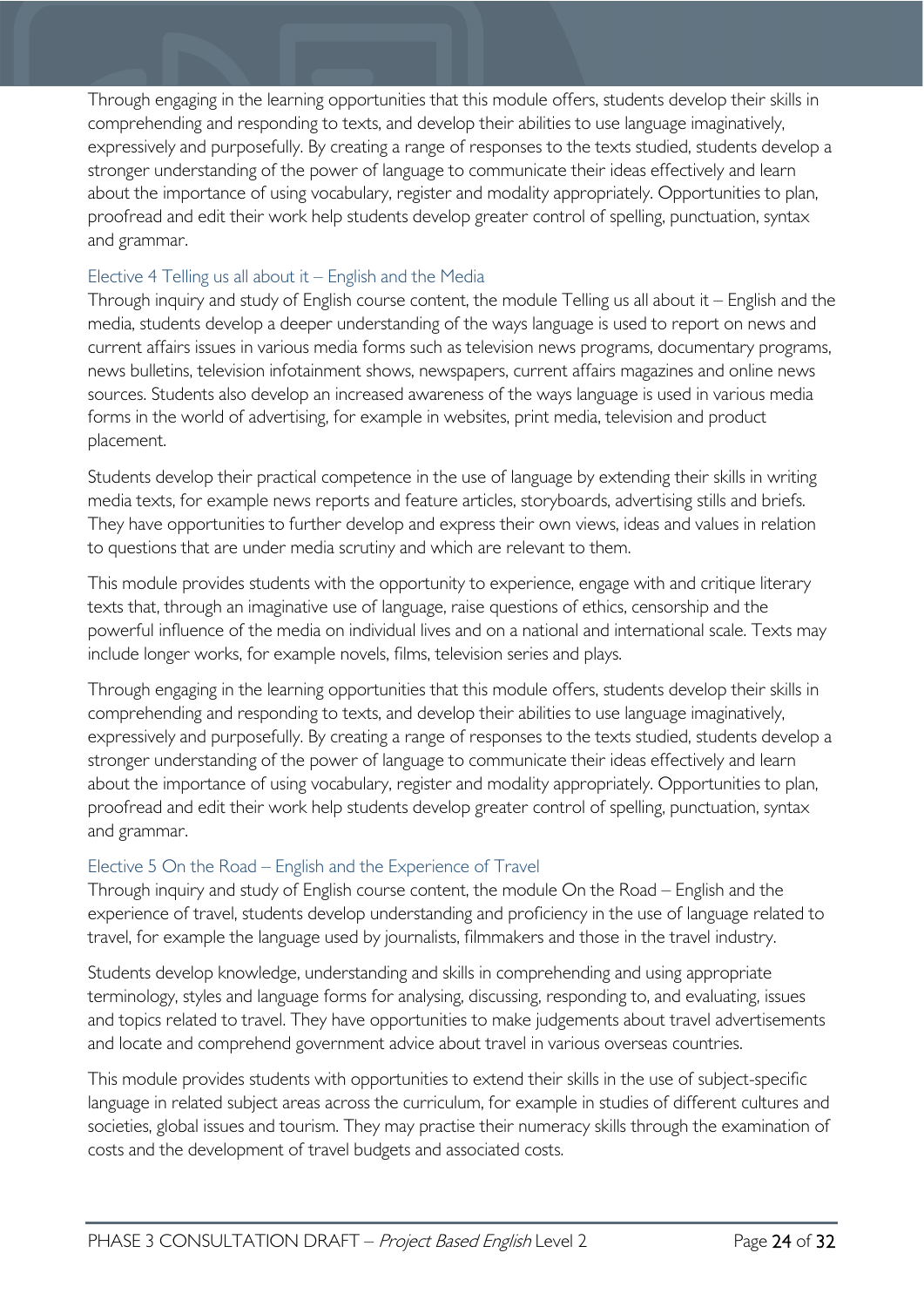Through engaging in the learning opportunities that this module offers, students develop their skills in comprehending and responding to texts, and develop their abilities to use language imaginatively, expressively and purposefully. By creating a range of responses to the texts studied, students develop a stronger understanding of the power of language to communicate their ideas effectively and learn about the importance of using vocabulary, register and modality appropriately. Opportunities to plan, proofread and edit their work help students develop greater control of spelling, punctuation, syntax and grammar.

#### <span id="page-23-0"></span>Elective 4 Telling us all about it – English and the Media

Through inquiry and study of English course content, the module Telling us all about it – English and the media, students develop a deeper understanding of the ways language is used to report on news and current affairs issues in various media forms such as television news programs, documentary programs, news bulletins, television infotainment shows, newspapers, current affairs magazines and online news sources. Students also develop an increased awareness of the ways language is used in various media forms in the world of advertising, for example in websites, print media, television and product placement.

Students develop their practical competence in the use of language by extending their skills in writing media texts, for example news reports and feature articles, storyboards, advertising stills and briefs. They have opportunities to further develop and express their own views, ideas and values in relation to questions that are under media scrutiny and which are relevant to them.

This module provides students with the opportunity to experience, engage with and critique literary texts that, through an imaginative use of language, raise questions of ethics, censorship and the powerful influence of the media on individual lives and on a national and international scale. Texts may include longer works, for example novels, films, television series and plays.

Through engaging in the learning opportunities that this module offers, students develop their skills in comprehending and responding to texts, and develop their abilities to use language imaginatively, expressively and purposefully. By creating a range of responses to the texts studied, students develop a stronger understanding of the power of language to communicate their ideas effectively and learn about the importance of using vocabulary, register and modality appropriately. Opportunities to plan, proofread and edit their work help students develop greater control of spelling, punctuation, syntax and grammar.

#### <span id="page-23-1"></span>Elective 5 On the Road – English and the Experience of Travel

Through inquiry and study of English course content, the module On the Road – English and the experience of travel, students develop understanding and proficiency in the use of language related to travel, for example the language used by journalists, filmmakers and those in the travel industry.

Students develop knowledge, understanding and skills in comprehending and using appropriate terminology, styles and language forms for analysing, discussing, responding to, and evaluating, issues and topics related to travel. They have opportunities to make judgements about travel advertisements and locate and comprehend government advice about travel in various overseas countries.

This module provides students with opportunities to extend their skills in the use of subject-specific language in related subject areas across the curriculum, for example in studies of different cultures and societies, global issues and tourism. They may practise their numeracy skills through the examination of costs and the development of travel budgets and associated costs.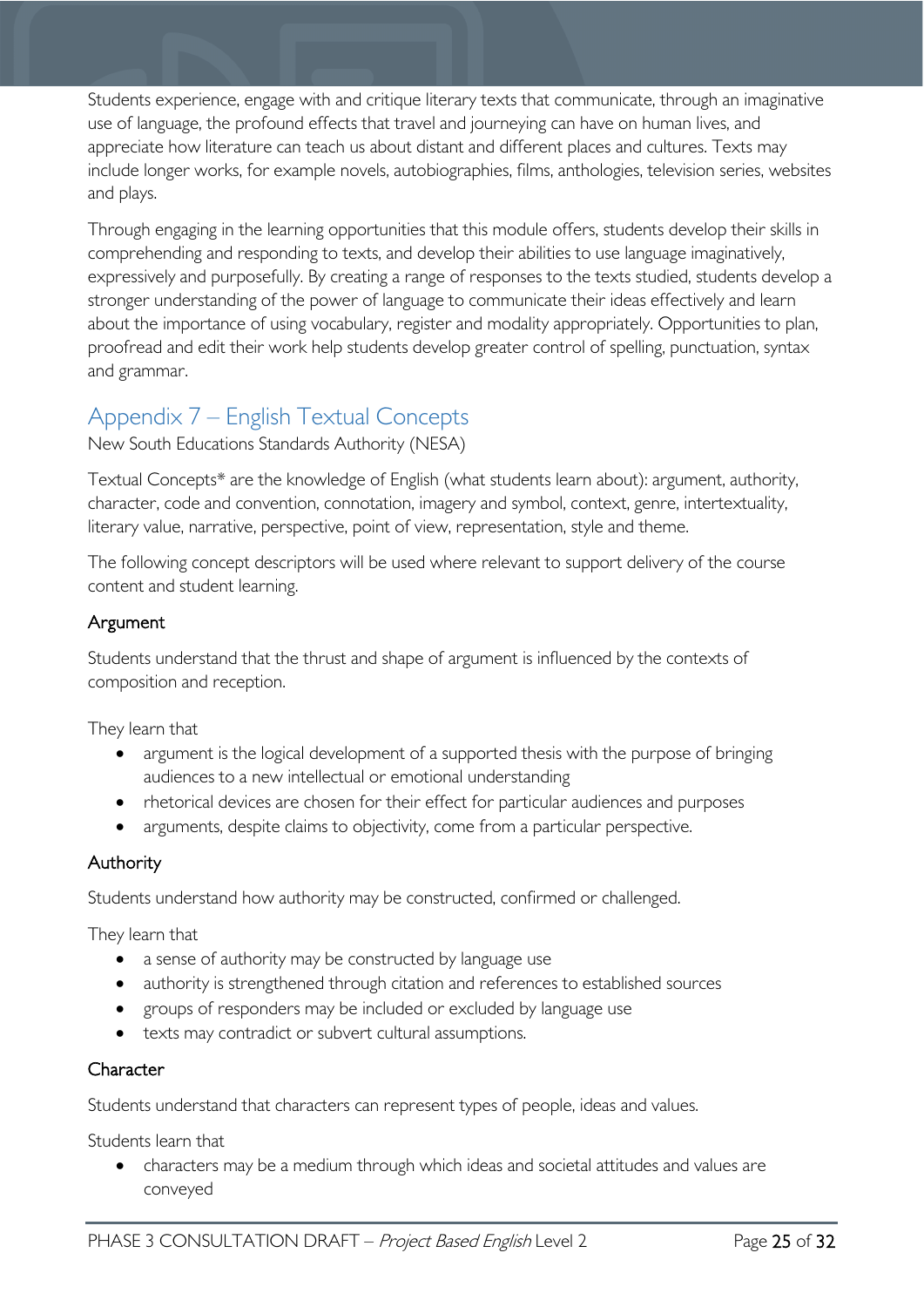Students experience, engage with and critique literary texts that communicate, through an imaginative use of language, the profound effects that travel and journeying can have on human lives, and appreciate how literature can teach us about distant and different places and cultures. Texts may include longer works, for example novels, autobiographies, films, anthologies, television series, websites and plays.

Through engaging in the learning opportunities that this module offers, students develop their skills in comprehending and responding to texts, and develop their abilities to use language imaginatively, expressively and purposefully. By creating a range of responses to the texts studied, students develop a stronger understanding of the power of language to communicate their ideas effectively and learn about the importance of using vocabulary, register and modality appropriately. Opportunities to plan, proofread and edit their work help students develop greater control of spelling, punctuation, syntax and grammar.

### <span id="page-24-0"></span>Appendix 7 – English Textual Concepts

New South Educations Standards Authority (NESA)

Textual Concepts\* are the knowledge of English (what students learn about): argument, authority, character, code and convention, connotation, imagery and symbol, context, genre, intertextuality, literary value, narrative, perspective, point of view, representation, style and theme.

The following concept descriptors will be used where relevant to support delivery of the course content and student learning.

#### Argument

Students understand that the thrust and shape of argument is influenced by the contexts of composition and reception.

They learn that

- argument is the logical development of a supported thesis with the purpose of bringing audiences to a new intellectual or emotional understanding
- rhetorical devices are chosen for their effect for particular audiences and purposes
- arguments, despite claims to objectivity, come from a particular perspective.

#### Authority

Students understand how authority may be constructed, confirmed or challenged.

They learn that

- a sense of authority may be constructed by language use
- authority is strengthened through citation and references to established sources
- groups of responders may be included or excluded by language use
- texts may contradict or subvert cultural assumptions.

#### **Character**

Students understand that characters can represent types of people, ideas and values.

Students learn that

• characters may be a medium through which ideas and societal attitudes and values are conveyed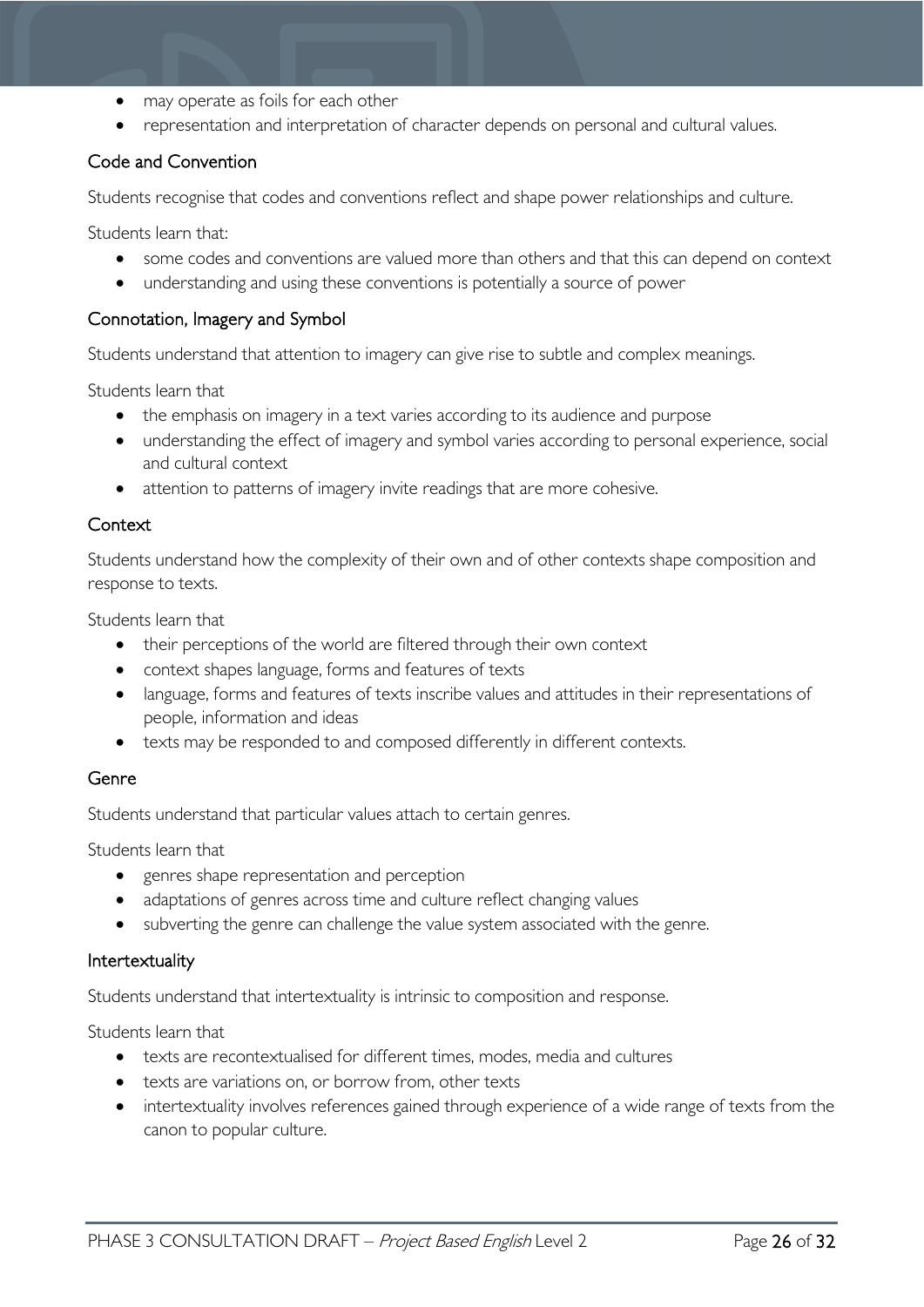- may operate as foils for each other
- representation and interpretation of character depends on personal and cultural values.

#### Code and Convention

Students recognise that codes and conventions reflect and shape power relationships and culture.

Students learn that:

- some codes and conventions are valued more than others and that this can depend on context
- understanding and using these conventions is potentially a source of power

#### Connotation, Imagery and Symbol

Students understand that attention to imagery can give rise to subtle and complex meanings.

Students learn that

- the emphasis on imagery in a text varies according to its audience and purpose
- understanding the effect of imagery and symbol varies according to personal experience, social and cultural context
- attention to patterns of imagery invite readings that are more cohesive.

#### **Context**

Students understand how the complexity of their own and of other contexts shape composition and response to texts.

Students learn that

- their perceptions of the world are filtered through their own context
- context shapes language, forms and features of texts
- language, forms and features of texts inscribe values and attitudes in their representations of people, information and ideas
- texts may be responded to and composed differently in different contexts.

#### Genre

Students understand that particular values attach to certain genres.

Students learn that

- genres shape representation and perception
- adaptations of genres across time and culture reflect changing values
- subverting the genre can challenge the value system associated with the genre.

#### Intertextuality

Students understand that intertextuality is intrinsic to composition and response.

Students learn that

- texts are recontextualised for different times, modes, media and cultures
- texts are variations on, or borrow from, other texts
- intertextuality involves references gained through experience of a wide range of texts from the canon to popular culture.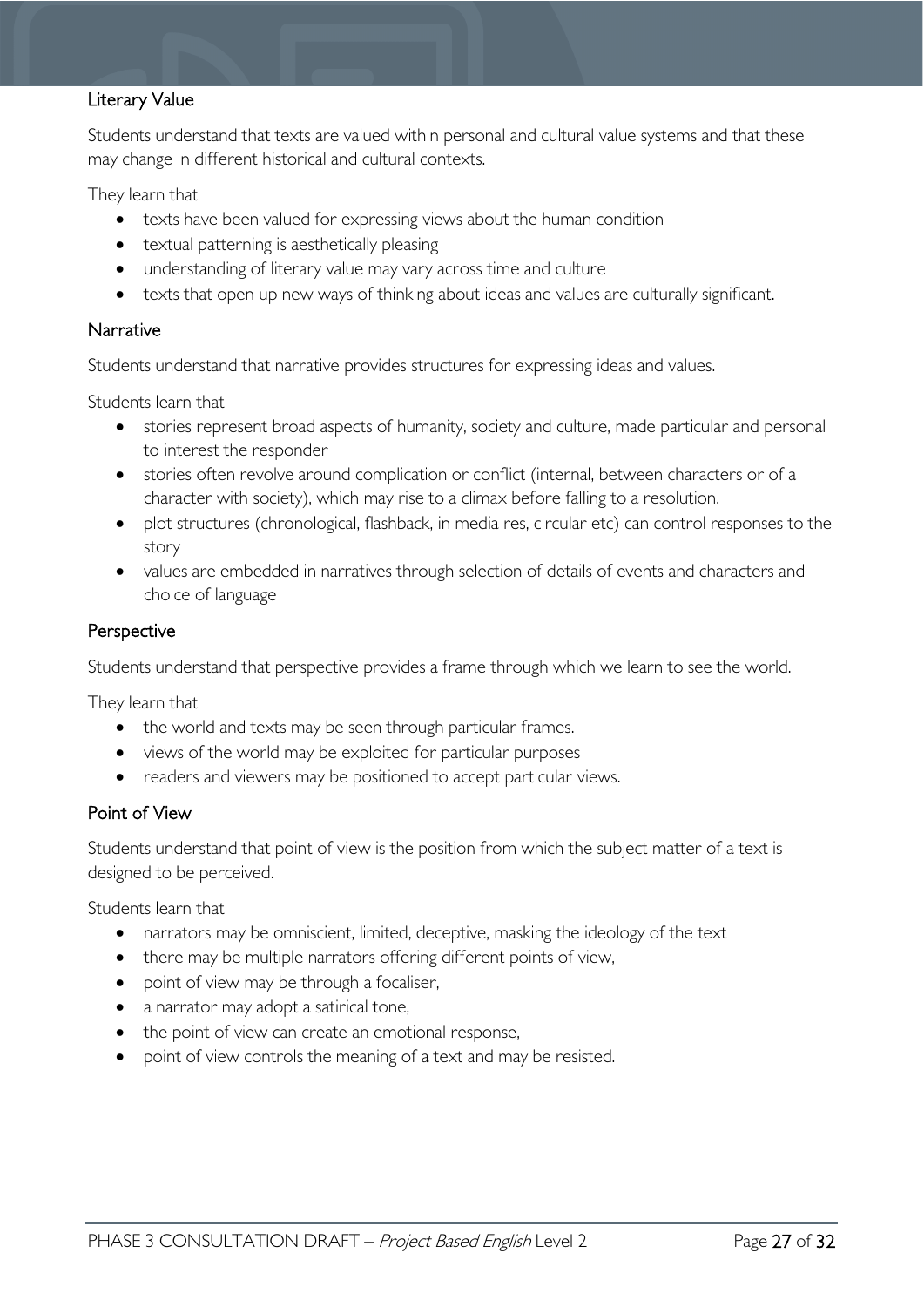#### Literary Value

Students understand that texts are valued within personal and cultural value systems and that these may change in different historical and cultural contexts.

They learn that

- texts have been valued for expressing views about the human condition
- textual patterning is aesthetically pleasing
- understanding of literary value may vary across time and culture
- texts that open up new ways of thinking about ideas and values are culturally significant.

#### **Narrative**

Students understand that narrative provides structures for expressing ideas and values.

Students learn that

- stories represent broad aspects of humanity, society and culture, made particular and personal to interest the responder
- stories often revolve around complication or conflict (internal, between characters or of a character with society), which may rise to a climax before falling to a resolution.
- plot structures (chronological, flashback, in media res, circular etc) can control responses to the story
- values are embedded in narratives through selection of details of events and characters and choice of language

#### **Perspective**

Students understand that perspective provides a frame through which we learn to see the world.

They learn that

- the world and texts may be seen through particular frames.
- views of the world may be exploited for particular purposes
- readers and viewers may be positioned to accept particular views.

#### Point of View

Students understand that point of view is the position from which the subject matter of a text is designed to be perceived.

Students learn that

- narrators may be omniscient, limited, deceptive, masking the ideology of the text
- there may be multiple narrators offering different points of view,
- point of view may be through a focaliser,
- a narrator may adopt a satirical tone,
- the point of view can create an emotional response,
- point of view controls the meaning of a text and may be resisted.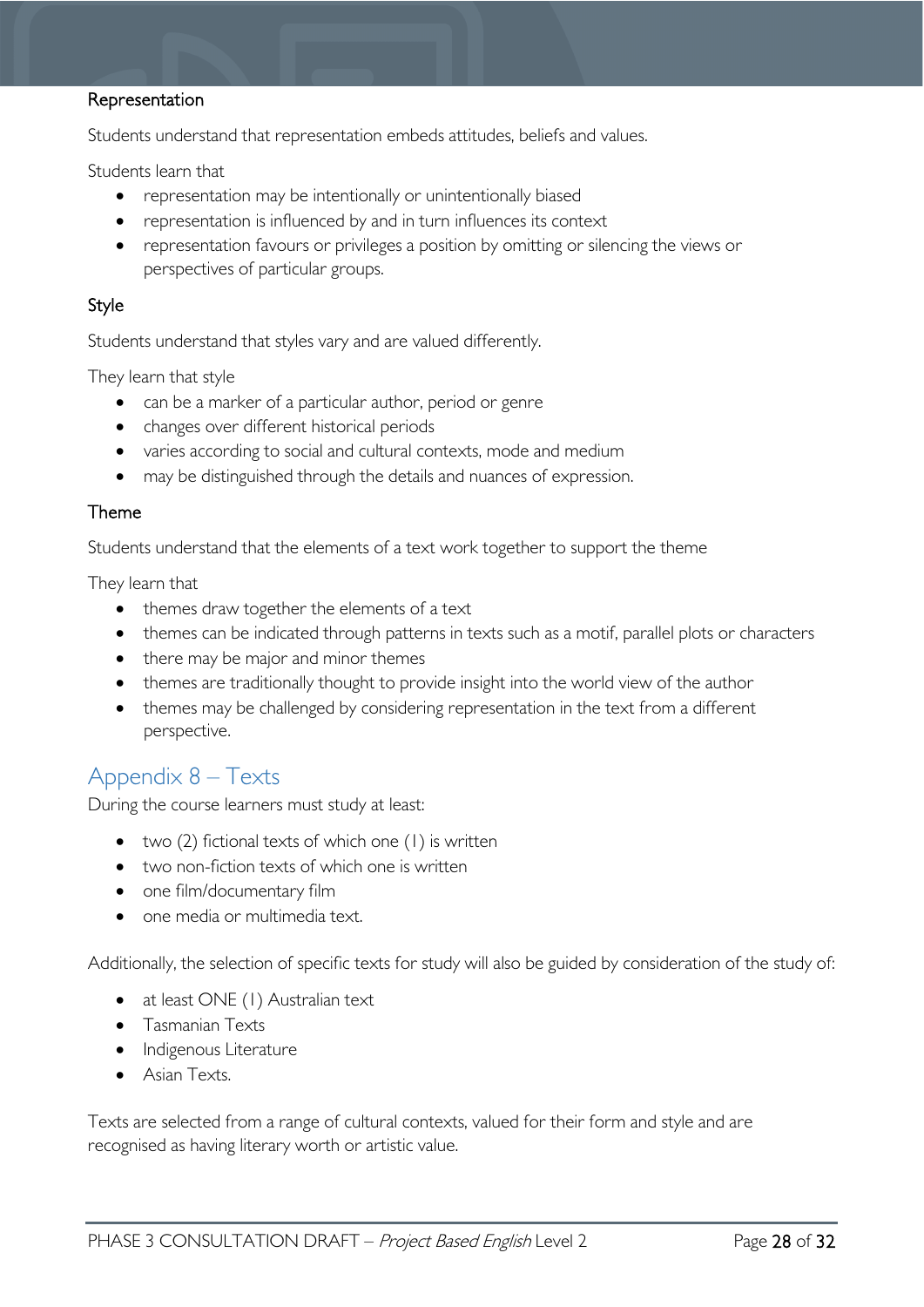#### Representation

Students understand that representation embeds attitudes, beliefs and values.

Students learn that

- representation may be intentionally or unintentionally biased
- representation is influenced by and in turn influences its context
- representation favours or privileges a position by omitting or silencing the views or perspectives of particular groups.

#### Style

Students understand that styles vary and are valued differently.

They learn that style

- can be a marker of a particular author, period or genre
- changes over different historical periods
- varies according to social and cultural contexts, mode and medium
- may be distinguished through the details and nuances of expression.

#### Theme

Students understand that the elements of a text work together to support the theme

They learn that

- themes draw together the elements of a text
- themes can be indicated through patterns in texts such as a motif, parallel plots or characters
- there may be major and minor themes
- themes are traditionally thought to provide insight into the world view of the author
- themes may be challenged by considering representation in the text from a different perspective.

### <span id="page-27-0"></span>Appendix 8 – Texts

During the course learners must study at least:

- two (2) fictional texts of which one (1) is written
- two non-fiction texts of which one is written
- one film/documentary film
- one media or multimedia text.

Additionally, the selection of specific texts for study will also be guided by consideration of the study of:

- at least ONE (1) Australian text
- Tasmanian Texts
- Indigenous Literature
- Asian Texts.

Texts are selected from a range of cultural contexts, valued for their form and style and are recognised as having literary worth or artistic value.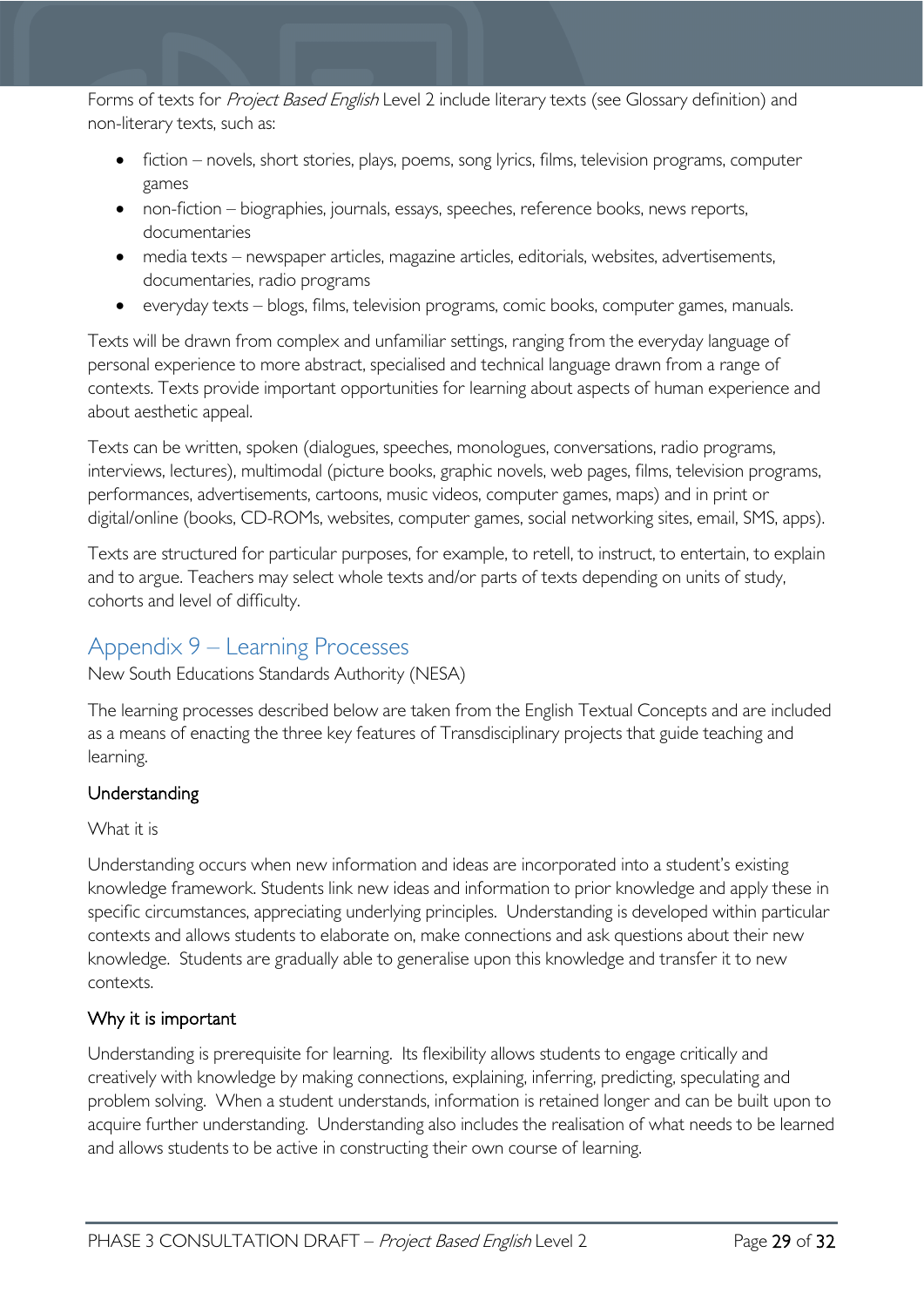Forms of texts for Project Based English Level 2 include literary texts (see Glossary definition) and non-literary texts, such as:

- fiction novels, short stories, plays, poems, song lyrics, films, television programs, computer games
- non-fiction biographies, journals, essays, speeches, reference books, news reports, documentaries
- media texts newspaper articles, magazine articles, editorials, websites, advertisements, documentaries, radio programs
- everyday texts blogs, films, television programs, comic books, computer games, manuals.

Texts will be drawn from complex and unfamiliar settings, ranging from the everyday language of personal experience to more abstract, specialised and technical language drawn from a range of contexts. Texts provide important opportunities for learning about aspects of human experience and about aesthetic appeal.

Texts can be written, spoken (dialogues, speeches, monologues, conversations, radio programs, interviews, lectures), multimodal (picture books, graphic novels, web pages, films, television programs, performances, advertisements, cartoons, music videos, computer games, maps) and in print or digital/online (books, CD-ROMs, websites, computer games, social networking sites, email, SMS, apps).

Texts are structured for particular purposes, for example, to retell, to instruct, to entertain, to explain and to argue. Teachers may select whole texts and/or parts of texts depending on units of study, cohorts and level of difficulty.

### <span id="page-28-0"></span>Appendix 9 – Learning Processes

New South Educations Standards Authority (NESA)

The learning processes described below are taken from the English Textual Concepts and are included as a means of enacting the three key features of Transdisciplinary projects that guide teaching and learning.

#### Understanding

#### What it is

Understanding occurs when new information and ideas are incorporated into a student's existing knowledge framework. Students link new ideas and information to prior knowledge and apply these in specific circumstances, appreciating underlying principles. Understanding is developed within particular contexts and allows students to elaborate on, make connections and ask questions about their new knowledge. Students are gradually able to generalise upon this knowledge and transfer it to new contexts.

#### Why it is important

Understanding is prerequisite for learning. Its flexibility allows students to engage critically and creatively with knowledge by making connections, explaining, inferring, predicting, speculating and problem solving. When a student understands, information is retained longer and can be built upon to acquire further understanding. Understanding also includes the realisation of what needs to be learned and allows students to be active in constructing their own course of learning.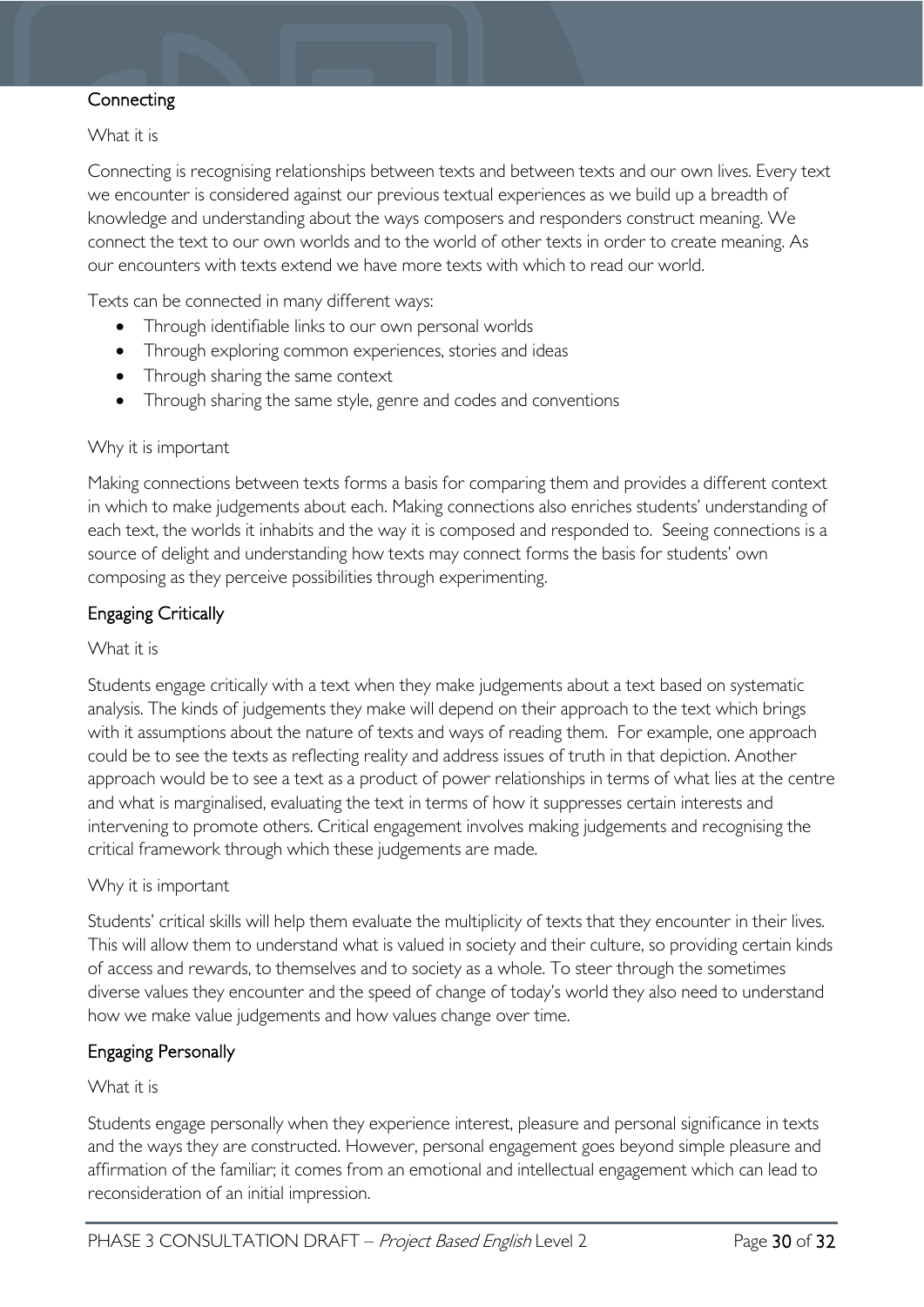#### **Connecting**

What it is

Connecting is recognising relationships between texts and between texts and our own lives. Every text we encounter is considered against our previous textual experiences as we build up a breadth of knowledge and understanding about the ways composers and responders construct meaning. We connect the text to our own worlds and to the world of other texts in order to create meaning. As our encounters with texts extend we have more texts with which to read our world.

Texts can be connected in many different ways:

- Through identifiable links to our own personal worlds
- Through exploring common experiences, stories and ideas
- Through sharing the same context
- Through sharing the same style, genre and codes and conventions

#### Why it is important

Making connections between texts forms a basis for comparing them and provides a different context in which to make judgements about each. Making connections also enriches students' understanding of each text, the worlds it inhabits and the way it is composed and responded to. Seeing connections is a source of delight and understanding how texts may connect forms the basis for students' own composing as they perceive possibilities through experimenting.

#### Engaging Critically

#### What it is

Students engage critically with a text when they make judgements about a text based on systematic analysis. The kinds of judgements they make will depend on their approach to the text which brings with it assumptions about the nature of texts and ways of reading them. For example, one approach could be to see the texts as reflecting reality and address issues of truth in that depiction. Another approach would be to see a text as a product of power relationships in terms of what lies at the centre and what is marginalised, evaluating the text in terms of how it suppresses certain interests and intervening to promote others. Critical engagement involves making judgements and recognising the critical framework through which these judgements are made.

#### Why it is important

Students' critical skills will help them evaluate the multiplicity of texts that they encounter in their lives. This will allow them to understand what is valued in society and their culture, so providing certain kinds of access and rewards, to themselves and to society as a whole. To steer through the sometimes diverse values they encounter and the speed of change of today's world they also need to understand how we make value judgements and how values change over time.

#### Engaging Personally

#### What it is

Students engage personally when they experience interest, pleasure and personal significance in texts and the ways they are constructed. However, personal engagement goes beyond simple pleasure and affirmation of the familiar; it comes from an emotional and intellectual engagement which can lead to reconsideration of an initial impression.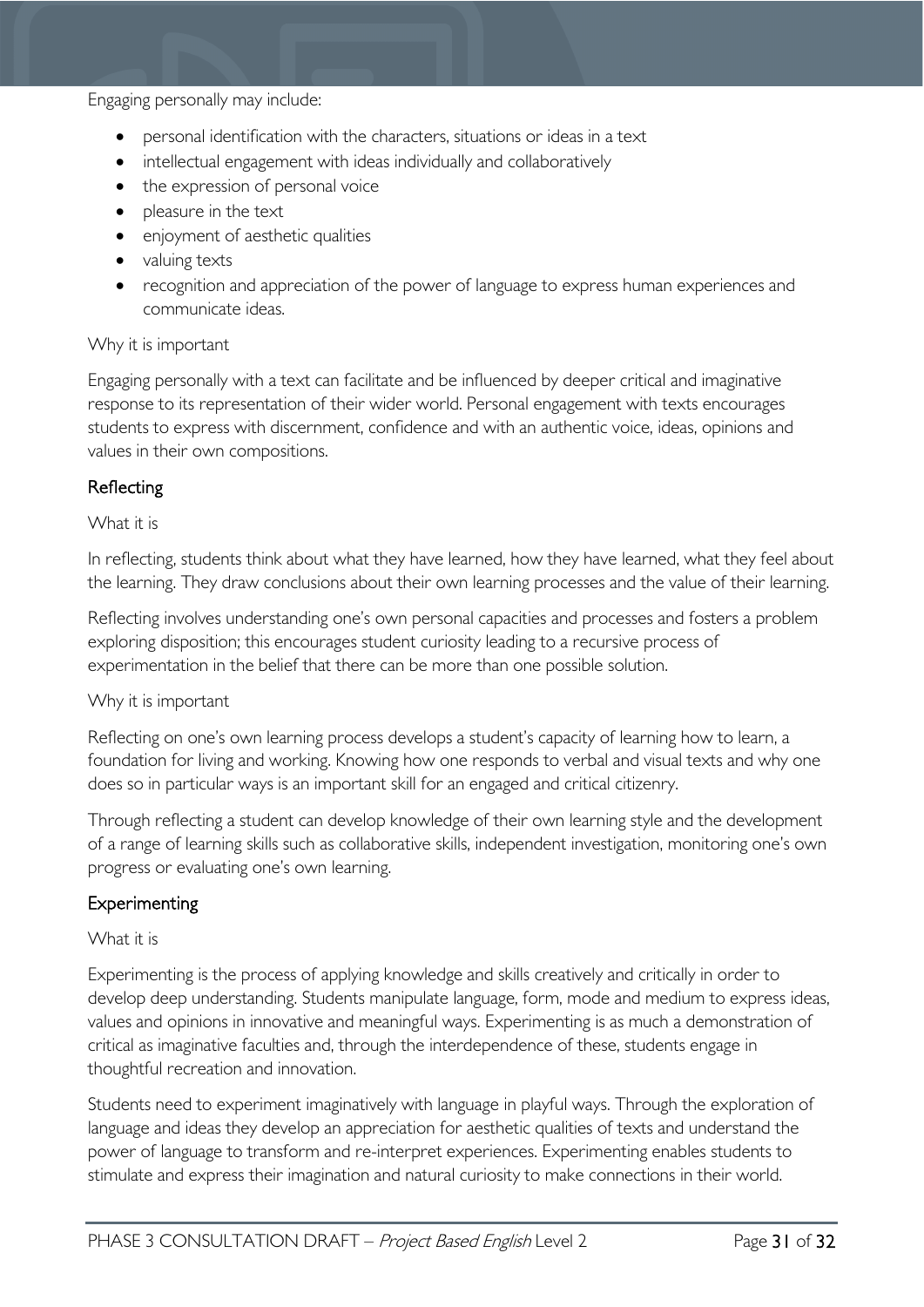Engaging personally may include:

- personal identification with the characters, situations or ideas in a text
- intellectual engagement with ideas individually and collaboratively
- the expression of personal voice
- pleasure in the text
- enjoyment of aesthetic qualities
- valuing texts
- recognition and appreciation of the power of language to express human experiences and communicate ideas.

#### Why it is important

Engaging personally with a text can facilitate and be influenced by deeper critical and imaginative response to its representation of their wider world. Personal engagement with texts encourages students to express with discernment, confidence and with an authentic voice, ideas, opinions and values in their own compositions.

#### Reflecting

#### What it is

In reflecting, students think about what they have learned, how they have learned, what they feel about the learning. They draw conclusions about their own learning processes and the value of their learning.

Reflecting involves understanding one's own personal capacities and processes and fosters a problem exploring disposition; this encourages student curiosity leading to a recursive process of experimentation in the belief that there can be more than one possible solution.

#### Why it is important

Reflecting on one's own learning process develops a student's capacity of learning how to learn, a foundation for living and working. Knowing how one responds to verbal and visual texts and why one does so in particular ways is an important skill for an engaged and critical citizenry.

Through reflecting a student can develop knowledge of their own learning style and the development of a range of learning skills such as collaborative skills, independent investigation, monitoring one's own progress or evaluating one's own learning.

#### Experimenting

#### What it is

Experimenting is the process of applying knowledge and skills creatively and critically in order to develop deep understanding. Students manipulate language, form, mode and medium to express ideas, values and opinions in innovative and meaningful ways. Experimenting is as much a demonstration of critical as imaginative faculties and, through the interdependence of these, students engage in thoughtful recreation and innovation.

Students need to experiment imaginatively with language in playful ways. Through the exploration of language and ideas they develop an appreciation for aesthetic qualities of texts and understand the power of language to transform and re-interpret experiences. Experimenting enables students to stimulate and express their imagination and natural curiosity to make connections in their world.